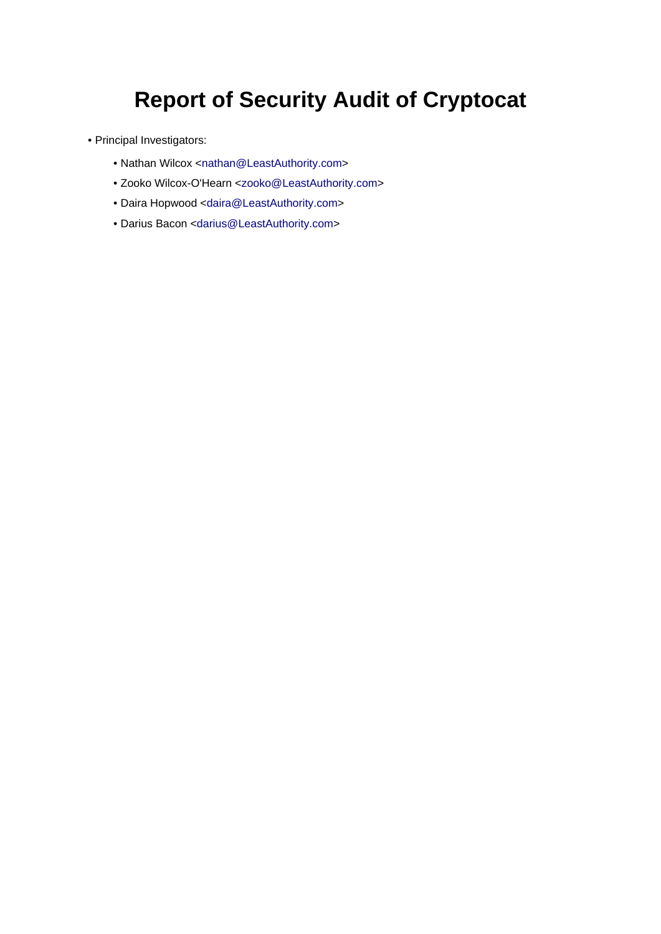# **Report of Security Audit of Cryptocat**

- Principal Investigators:
	- Nathan Wilcox <[nathan@LeastAuthority.com](mailto:nathan@LeastAuthority.com)>
	- Zooko Wilcox-O'Hearn <[zooko@LeastAuthority.com>](mailto:zooko@LeastAuthority.com)
	- Daira Hopwood [<daira@LeastAuthority.com](mailto:daira@LeastAuthority.com)>
	- Darius Bacon [<darius@LeastAuthority.com](mailto:darius@LeastAuthority.com)>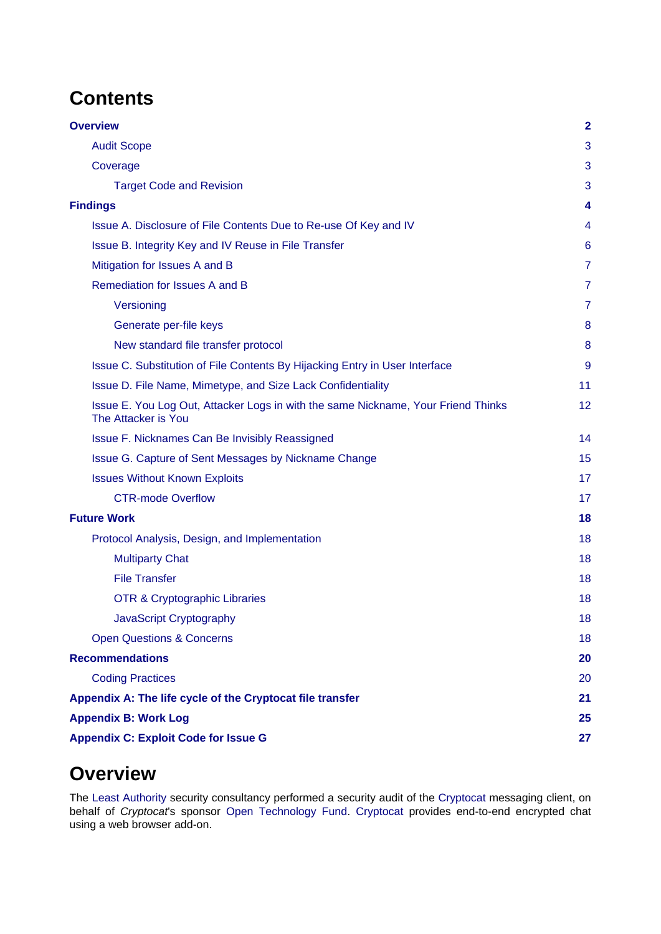# **Contents**

| <b>Overview</b>                                                                                          | $\overline{2}$ |
|----------------------------------------------------------------------------------------------------------|----------------|
| <b>Audit Scope</b>                                                                                       | 3              |
| Coverage                                                                                                 | 3              |
| <b>Target Code and Revision</b>                                                                          | 3              |
| <b>Findings</b>                                                                                          | 4              |
| Issue A. Disclosure of File Contents Due to Re-use Of Key and IV                                         | 4              |
| Issue B. Integrity Key and IV Reuse in File Transfer                                                     | 6              |
| Mitigation for Issues A and B                                                                            | 7              |
| Remediation for Issues A and B                                                                           | 7              |
| Versioning                                                                                               | $\overline{7}$ |
| Generate per-file keys                                                                                   | 8              |
| New standard file transfer protocol                                                                      | 8              |
| Issue C. Substitution of File Contents By Hijacking Entry in User Interface                              | 9              |
| Issue D. File Name, Mimetype, and Size Lack Confidentiality                                              | 11             |
| Issue E. You Log Out, Attacker Logs in with the same Nickname, Your Friend Thinks<br>The Attacker is You | 12             |
| Issue F. Nicknames Can Be Invisibly Reassigned                                                           | 14             |
| Issue G. Capture of Sent Messages by Nickname Change                                                     | 15             |
| <b>Issues Without Known Exploits</b>                                                                     | 17             |
| <b>CTR-mode Overflow</b>                                                                                 | 17             |
| <b>Future Work</b>                                                                                       | 18             |
| Protocol Analysis, Design, and Implementation                                                            | 18             |
| <b>Multiparty Chat</b>                                                                                   | 18             |
| <b>File Transfer</b>                                                                                     | 18             |
| <b>OTR &amp; Cryptographic Libraries</b>                                                                 | 18             |
| JavaScript Cryptography                                                                                  | 18             |
| <b>Open Questions &amp; Concerns</b>                                                                     | 18             |
| <b>Recommendations</b>                                                                                   | 20             |
| <b>Coding Practices</b>                                                                                  | 20             |
| Appendix A: The life cycle of the Cryptocat file transfer                                                | 21             |
| <b>Appendix B: Work Log</b>                                                                              | 25             |
| <b>Appendix C: Exploit Code for Issue G</b>                                                              | 27             |

# <span id="page-1-0"></span>**Overview**

The [Least Authority](https://LeastAuthority.com/) security consultancy performed a security audit of the [Cryptocat m](https://crypto.cat/)essaging client, on behalf of Cryptocat's sponsor [Open Technology Fund.](https://www.opentechfund.org/) [Cryptocat](https://crypto.cat/) provides end-to-end encrypted chat using a web browser add-on.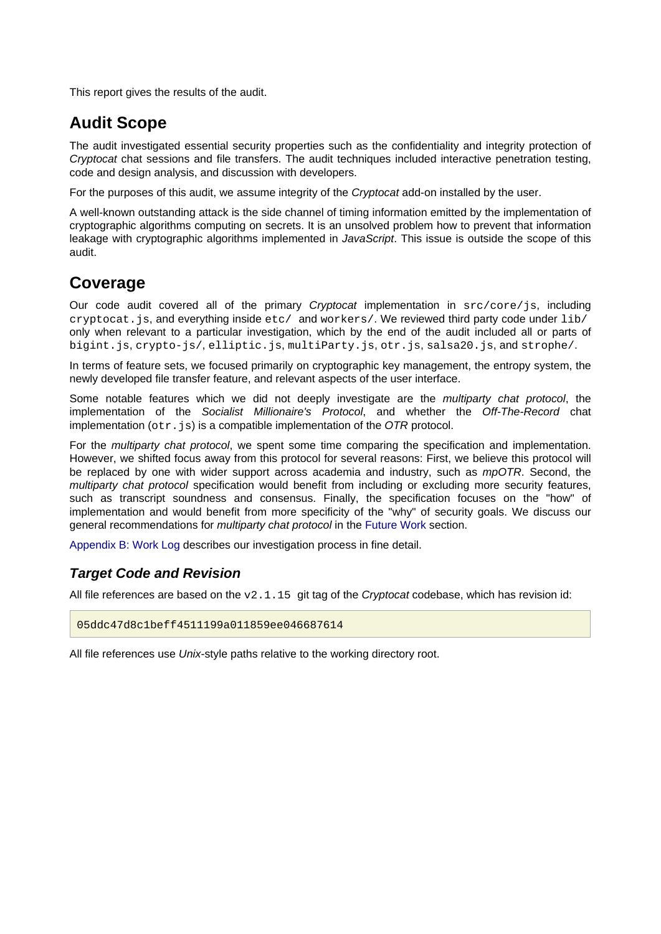This report gives the results of the audit.

### <span id="page-2-0"></span>**Audit Scope**

The audit investigated essential security properties such as the confidentiality and integrity protection of Cryptocat chat sessions and file transfers. The audit techniques included interactive penetration testing, code and design analysis, and discussion with developers.

For the purposes of this audit, we assume integrity of the Cryptocat add-on installed by the user.

A well-known outstanding attack is the side channel of timing information emitted by the implementation of cryptographic algorithms computing on secrets. It is an unsolved problem how to prevent that information leakage with cryptographic algorithms implemented in JavaScript. This issue is outside the scope of this audit.

### <span id="page-2-1"></span>**Coverage**

Our code audit covered all of the primary *Cryptocat* implementation in src/core/js, including cryptocat.js, and everything inside etc/ and workers/. We reviewed third party code under lib/ only when relevant to a particular investigation, which by the end of the audit included all or parts of bigint.js, crypto-js/, elliptic.js, multiParty.js, otr.js, salsa20.js, and strophe/.

In terms of feature sets, we focused primarily on cryptographic key management, the entropy system, the newly developed file transfer feature, and relevant aspects of the user interface.

Some notable features which we did not deeply investigate are the multiparty chat protocol, the implementation of the Socialist Millionaire's Protocol, and whether the Off-The-Record chat implementation ( $otr.js$ ) is a compatible implementation of the OTR protocol.

For the *multiparty chat protocol*, we spent some time comparing the specification and implementation. However, we shifted focus away from this protocol for several reasons: First, we believe this protocol will be replaced by one with wider support across academia and industry, such as *mpOTR*. Second, the multiparty chat protocol specification would benefit from including or excluding more security features, such as transcript soundness and consensus. Finally, the specification focuses on the "how" of implementation and would benefit from more specificity of the "why" of security goals. We discuss our general recommendations for *multiparty chat protocol* in the [Future Work s](#page-17-7)ection.

[Appendix B: Work Log d](#page-24-1)escribes our investigation process in fine detail.

### <span id="page-2-2"></span>**Target Code and Revision**

All file references are based on the  $v2.1.15$  git tag of the *Cryptocat* codebase, which has revision id:

05ddc47d8c1beff4511199a011859ee046687614

All file references use Unix-style paths relative to the working directory root.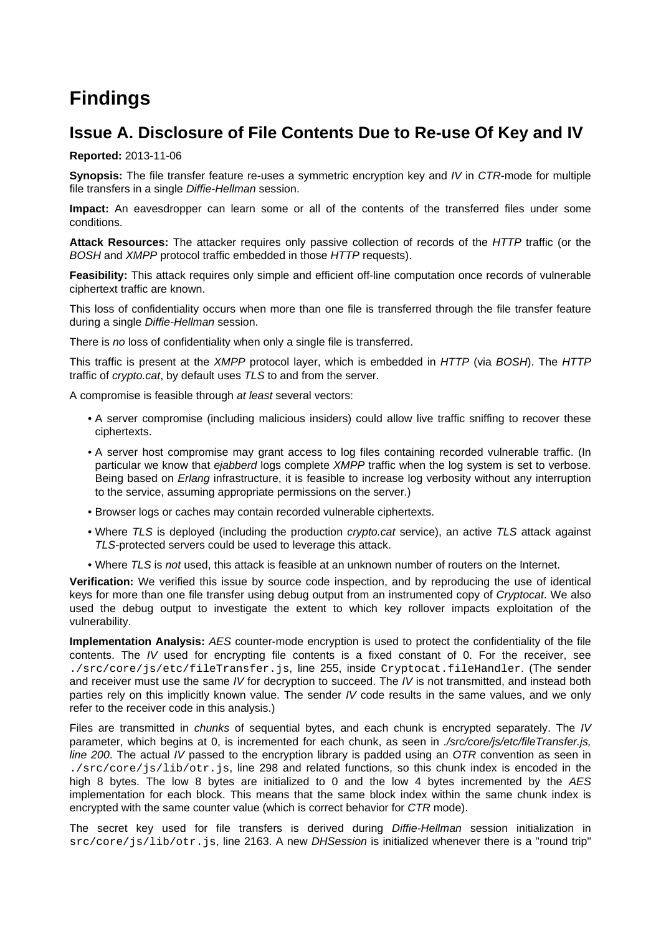# <span id="page-3-0"></span>**Findings**

## <span id="page-3-2"></span><span id="page-3-1"></span>**Issue A. Disclosure of File Contents Due to Re-use Of Key and IV**

**Reported:** 2013-11-06

**Synopsis:** The file transfer feature re-uses a symmetric encryption key and IV in CTR-mode for multiple file transfers in a single Diffie-Hellman session.

**Impact:** An eavesdropper can learn some or all of the contents of the transferred files under some conditions.

**Attack Resources:** The attacker requires only passive collection of records of the HTTP traffic (or the BOSH and XMPP protocol traffic embedded in those HTTP requests).

**Feasibility:** This attack requires only simple and efficient off-line computation once records of vulnerable ciphertext traffic are known.

This loss of confidentiality occurs when more than one file is transferred through the file transfer feature during a single Diffie-Hellman session.

There is no loss of confidentiality when only a single file is transferred.

This traffic is present at the XMPP protocol layer, which is embedded in HTTP (via BOSH). The HTTP traffic of crypto.cat, by default uses TLS to and from the server.

A compromise is feasible through at least several vectors:

- A server compromise (including malicious insiders) could allow live traffic sniffing to recover these ciphertexts.
- A server host compromise may grant access to log files containing recorded vulnerable traffic. (In particular we know that ejabberd logs complete XMPP traffic when the log system is set to verbose. Being based on *Erlang* infrastructure, it is feasible to increase log verbosity without any interruption to the service, assuming appropriate permissions on the server.)
- Browser logs or caches may contain recorded vulnerable ciphertexts.
- Where TLS is deployed (including the production *crypto.cat* service), an active TLS attack against TLS-protected servers could be used to leverage this attack.
- Where TLS is not used, this attack is feasible at an unknown number of routers on the Internet.

**Verification:** We verified this issue by source code inspection, and by reproducing the use of identical keys for more than one file transfer using debug output from an instrumented copy of Cryptocat. We also used the debug output to investigate the extent to which key rollover impacts exploitation of the vulnerability.

**Implementation Analysis:** AES counter-mode encryption is used to protect the confidentiality of the file contents. The IV used for encrypting file contents is a fixed constant of 0. For the receiver, see ./src/core/js/etc/fileTransfer.js, line 255, inside Cryptocat.fileHandler. (The sender and receiver must use the same IV for decryption to succeed. The IV is not transmitted, and instead both parties rely on this implicitly known value. The sender IV code results in the same values, and we only refer to the receiver code in this analysis.)

Files are transmitted in *chunks* of sequential bytes, and each chunk is encrypted separately. The *IV* parameter, which begins at 0, is incremented for each chunk, as seen in ./src/core/js/etc/fileTransfer.js, line 200. The actual IV passed to the encryption library is padded using an  $OTR$  convention as seen in ./src/core/js/lib/otr.js, line 298 and related functions, so this chunk index is encoded in the high 8 bytes. The low 8 bytes are initialized to 0 and the low 4 bytes incremented by the AES implementation for each block. This means that the same block index within the same chunk index is encrypted with the same counter value (which is correct behavior for CTR mode).

The secret key used for file transfers is derived during Diffie-Hellman session initialization in src/core/js/lib/otr.js, line 2163. A new DHSession is initialized whenever there is a "round trip"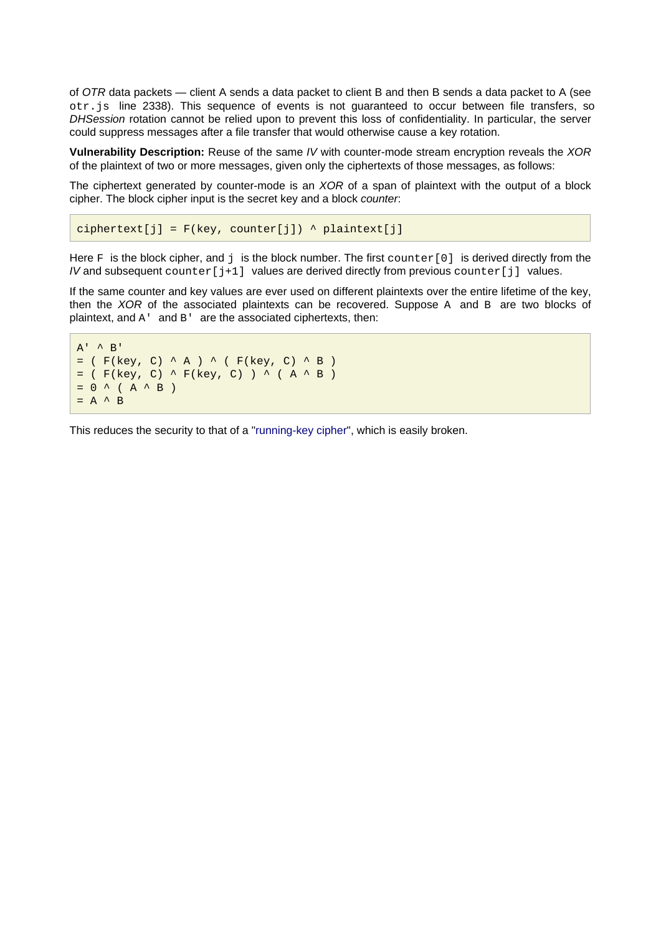of OTR data packets — client A sends a data packet to client B and then B sends a data packet to A (see otr.js line 2338). This sequence of events is not guaranteed to occur between file transfers, so DHSession rotation cannot be relied upon to prevent this loss of confidentiality. In particular, the server could suppress messages after a file transfer that would otherwise cause a key rotation.

**Vulnerability Description:** Reuse of the same IV with counter-mode stream encryption reveals the XOR of the plaintext of two or more messages, given only the ciphertexts of those messages, as follows:

The ciphertext generated by counter-mode is an *XOR* of a span of plaintext with the output of a block cipher. The block cipher input is the secret key and a block counter:

ciphertext[j] =  $F(key, counter[j])$  ^ plaintext[j]

Here  $\mathbb F$  is the block cipher, and  $\dagger$  is the block number. The first counter [0] is derived directly from the IV and subsequent  $counter[j+1]$  values are derived directly from previous  $counter[j]$  values.

If the same counter and key values are ever used on different plaintexts over the entire lifetime of the key, then the XOR of the associated plaintexts can be recovered. Suppose A and  $B$  are two blocks of plaintext, and A' and B' are the associated ciphertexts, then:

```
A' ^ B'= ( F(key, C) ^ A ) ^ ( F(key, C) ^ B )
= ( F(key, C) \wedge F(key, C) ) \wedge ( A \wedge B )
= 0 ^ ( A ^ B )
= A^{\prime} B
```
This reduces the security to that of a ["running-key cipher](https://en.wikipedia.org/wiki/Running%20key%20cipher)", which is easily broken.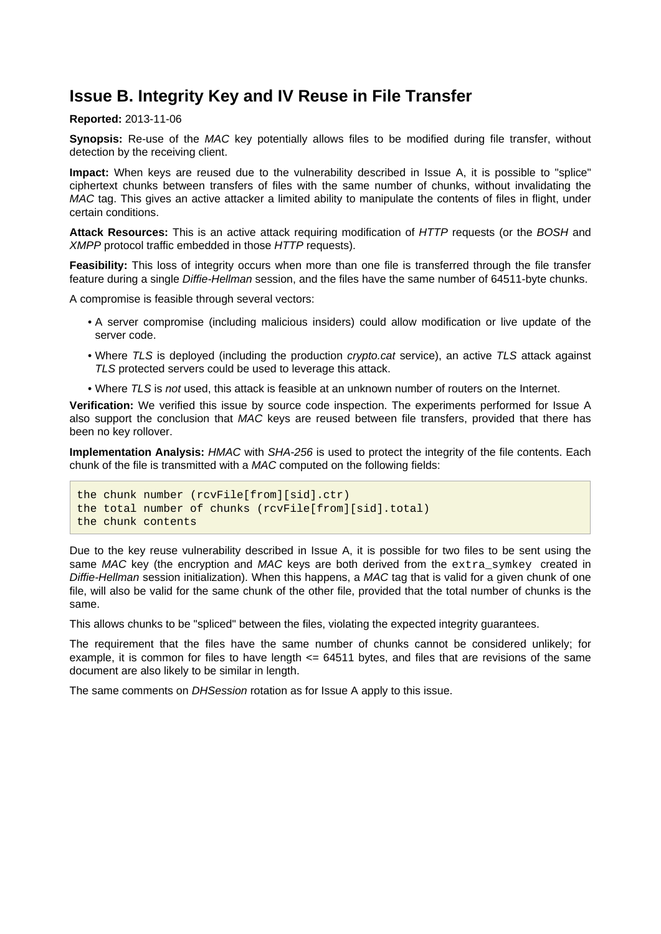### <span id="page-5-1"></span><span id="page-5-0"></span>**Issue B. Integrity Key and IV Reuse in File Transfer**

#### **Reported:** 2013-11-06

**Synopsis:** Re-use of the MAC key potentially allows files to be modified during file transfer, without detection by the receiving client.

**Impact:** When keys are reused due to the vulnerability described in Issue A, it is possible to "splice" ciphertext chunks between transfers of files with the same number of chunks, without invalidating the MAC tag. This gives an active attacker a limited ability to manipulate the contents of files in flight, under certain conditions.

**Attack Resources:** This is an active attack requiring modification of HTTP requests (or the BOSH and XMPP protocol traffic embedded in those HTTP requests).

**Feasibility:** This loss of integrity occurs when more than one file is transferred through the file transfer feature during a single Diffie-Hellman session, and the files have the same number of 64511-byte chunks.

A compromise is feasible through several vectors:

- A server compromise (including malicious insiders) could allow modification or live update of the server code.
- Where TLS is deployed (including the production *crypto.cat* service), an active TLS attack against TLS protected servers could be used to leverage this attack.
- Where TLS is not used, this attack is feasible at an unknown number of routers on the Internet.

**Verification:** We verified this issue by source code inspection. The experiments performed for Issue A also support the conclusion that MAC keys are reused between file transfers, provided that there has been no key rollover.

**Implementation Analysis:** HMAC with SHA-256 is used to protect the integrity of the file contents. Each chunk of the file is transmitted with a MAC computed on the following fields:

```
the chunk number (rcvFile[from][sid].ctr)
the total number of chunks (rcvFile[from][sid].total)
the chunk contents
```
Due to the key reuse vulnerability described in Issue A, it is possible for two files to be sent using the same MAC key (the encryption and MAC keys are both derived from the extra\_symkey created in Diffie-Hellman session initialization). When this happens, a MAC tag that is valid for a given chunk of one file, will also be valid for the same chunk of the other file, provided that the total number of chunks is the same.

This allows chunks to be "spliced" between the files, violating the expected integrity guarantees.

The requirement that the files have the same number of chunks cannot be considered unlikely; for example, it is common for files to have length  $\leq$  64511 bytes, and files that are revisions of the same document are also likely to be similar in length.

The same comments on *DHSession* rotation as for Issue A apply to this issue.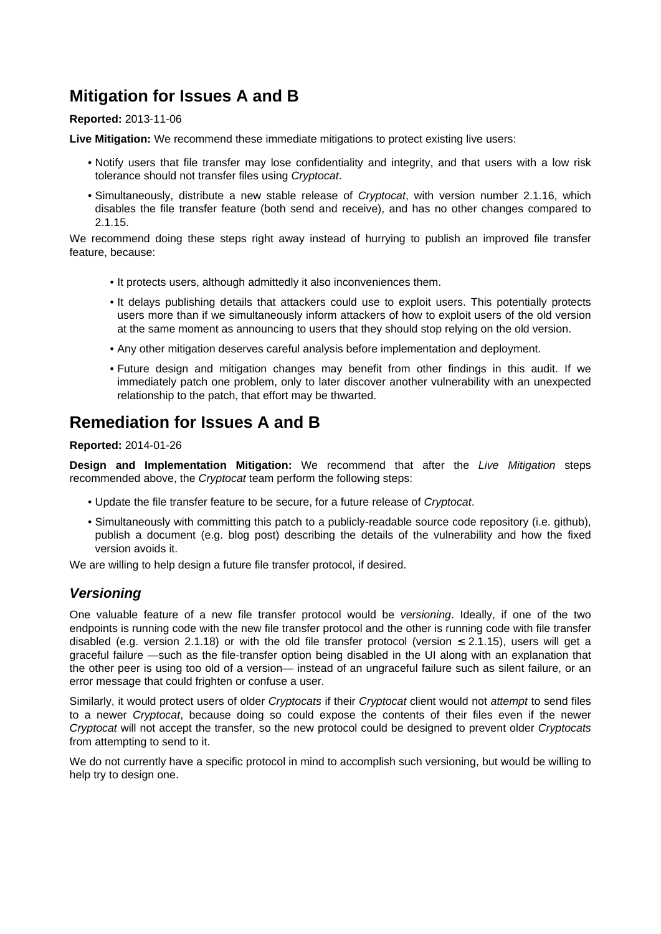## <span id="page-6-0"></span>**Mitigation for Issues A and B**

#### **Reported:** 2013-11-06

**Live Mitigation:** We recommend these immediate mitigations to protect existing live users:

- Notify users that file transfer may lose confidentiality and integrity, and that users with a low risk tolerance should not transfer files using Cryptocat.
- Simultaneously, distribute a new stable release of Cryptocat, with version number 2.1.16, which disables the file transfer feature (both send and receive), and has no other changes compared to 2.1.15.

We recommend doing these steps right away instead of hurrying to publish an improved file transfer feature, because:

- It protects users, although admittedly it also inconveniences them.
- It delays publishing details that attackers could use to exploit users. This potentially protects users more than if we simultaneously inform attackers of how to exploit users of the old version at the same moment as announcing to users that they should stop relying on the old version.
- Any other mitigation deserves careful analysis before implementation and deployment.
- Future design and mitigation changes may benefit from other findings in this audit. If we immediately patch one problem, only to later discover another vulnerability with an unexpected relationship to the patch, that effort may be thwarted.

### <span id="page-6-3"></span><span id="page-6-1"></span>**Remediation for Issues A and B**

#### **Reported:** 2014-01-26

**Design and Implementation Mitigation:** We recommend that after the Live Mitigation steps recommended above, the Cryptocat team perform the following steps:

- Update the file transfer feature to be secure, for a future release of Cryptocat.
- Simultaneously with committing this patch to a publicly-readable source code repository (i.e. github), publish a document (e.g. blog post) describing the details of the vulnerability and how the fixed version avoids it.

We are willing to help design a future file transfer protocol, if desired.

### <span id="page-6-2"></span>**Versioning**

One valuable feature of a new file transfer protocol would be versioning. Ideally, if one of the two endpoints is running code with the new file transfer protocol and the other is running code with file transfer disabled (e.g. version 2.1.18) or with the old file transfer protocol (version  $\leq$  2.1.15), users will get a graceful failure —such as the file-transfer option being disabled in the UI along with an explanation that the other peer is using too old of a version— instead of an ungraceful failure such as silent failure, or an error message that could frighten or confuse a user.

Similarly, it would protect users of older Cryptocats if their Cryptocat client would not attempt to send files to a newer Cryptocat, because doing so could expose the contents of their files even if the newer Cryptocat will not accept the transfer, so the new protocol could be designed to prevent older Cryptocats from attempting to send to it.

We do not currently have a specific protocol in mind to accomplish such versioning, but would be willing to help try to design one.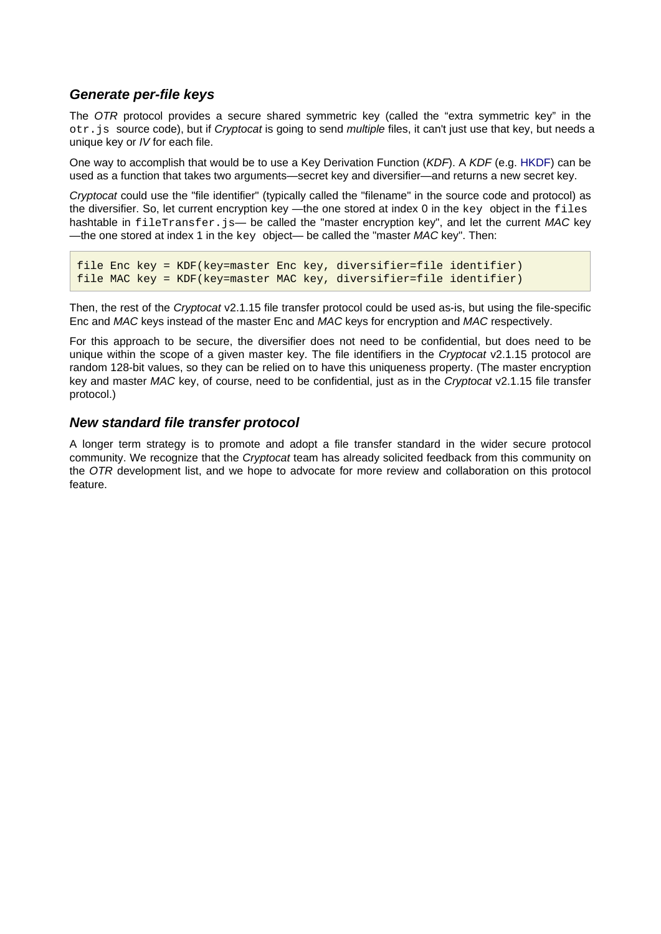### <span id="page-7-0"></span>**Generate per-file keys**

The OTR protocol provides a secure shared symmetric key (called the "extra symmetric key" in the otr. js source code), but if Cryptocat is going to send multiple files, it can't just use that key, but needs a unique key or IV for each file.

One way to accomplish that would be to use a Key Derivation Function (KDF). A KDF (e.g. [HKDF](https://tools.ietf.org/html/rfc5869)) can be used as a function that takes two arguments—secret key and diversifier—and returns a new secret key.

Cryptocat could use the "file identifier" (typically called the "filename" in the source code and protocol) as the diversifier. So, let current encryption key —the one stored at index 0 in the key object in the files hashtable in fileTransfer.js— be called the "master encryption key", and let the current MAC key —the one stored at index 1 in the  $key$  object— be called the "master MAC key". Then:

```
file Enc key = KDF(key=master Enc key, diversifier=file identifier)
file MAC key = KDF(key=master MAC key, diversifier=file identifier)
```
Then, the rest of the Cryptocat v2.1.15 file transfer protocol could be used as-is, but using the file-specific Enc and MAC keys instead of the master Enc and MAC keys for encryption and MAC respectively.

For this approach to be secure, the diversifier does not need to be confidential, but does need to be unique within the scope of a given master key. The file identifiers in the Cryptocat v2.1.15 protocol are random 128-bit values, so they can be relied on to have this uniqueness property. (The master encryption key and master MAC key, of course, need to be confidential, just as in the Cryptocat v2.1.15 file transfer protocol.)

### <span id="page-7-1"></span>**New standard file transfer protocol**

A longer term strategy is to promote and adopt a file transfer standard in the wider secure protocol community. We recognize that the Cryptocat team has already solicited feedback from this community on the OTR development list, and we hope to advocate for more review and collaboration on this protocol feature.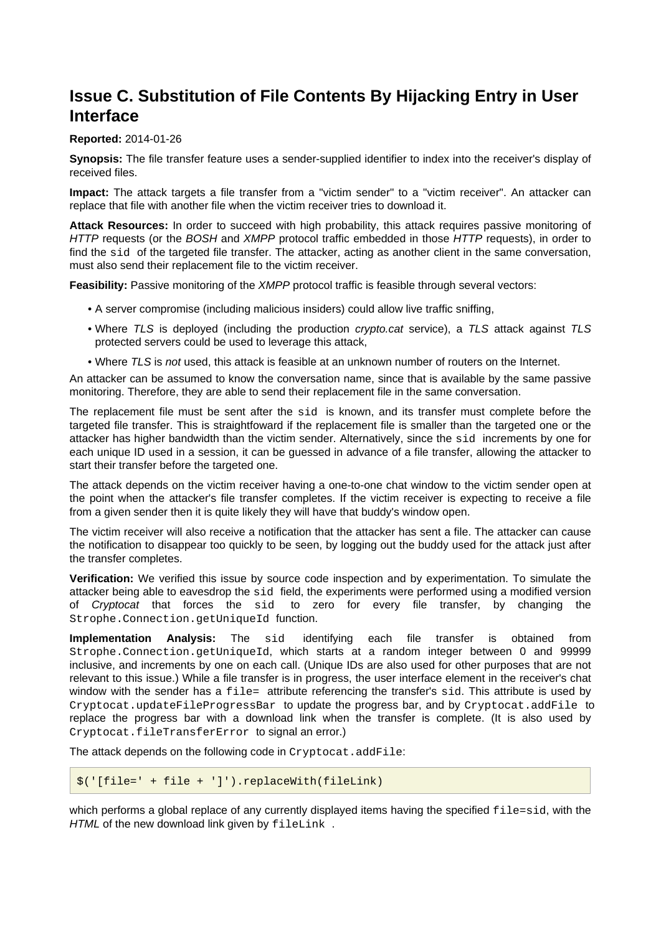## <span id="page-8-1"></span><span id="page-8-0"></span>**Issue C. Substitution of File Contents By Hijacking Entry in User Interface**

#### **Reported:** 2014-01-26

**Synopsis:** The file transfer feature uses a sender-supplied identifier to index into the receiver's display of received files.

**Impact:** The attack targets a file transfer from a "victim sender" to a "victim receiver". An attacker can replace that file with another file when the victim receiver tries to download it.

**Attack Resources:** In order to succeed with high probability, this attack requires passive monitoring of HTTP requests (or the BOSH and XMPP protocol traffic embedded in those HTTP requests), in order to find the sid of the targeted file transfer. The attacker, acting as another client in the same conversation, must also send their replacement file to the victim receiver.

**Feasibility:** Passive monitoring of the XMPP protocol traffic is feasible through several vectors:

- A server compromise (including malicious insiders) could allow live traffic sniffing,
- Where TLS is deployed (including the production *crypto.cat* service), a TLS attack against TLS protected servers could be used to leverage this attack,
- Where TLS is not used, this attack is feasible at an unknown number of routers on the Internet.

An attacker can be assumed to know the conversation name, since that is available by the same passive monitoring. Therefore, they are able to send their replacement file in the same conversation.

The replacement file must be sent after the sid is known, and its transfer must complete before the targeted file transfer. This is straightfoward if the replacement file is smaller than the targeted one or the attacker has higher bandwidth than the victim sender. Alternatively, since the sid increments by one for each unique ID used in a session, it can be guessed in advance of a file transfer, allowing the attacker to start their transfer before the targeted one.

The attack depends on the victim receiver having a one-to-one chat window to the victim sender open at the point when the attacker's file transfer completes. If the victim receiver is expecting to receive a file from a given sender then it is quite likely they will have that buddy's window open.

The victim receiver will also receive a notification that the attacker has sent a file. The attacker can cause the notification to disappear too quickly to be seen, by logging out the buddy used for the attack just after the transfer completes.

**Verification:** We verified this issue by source code inspection and by experimentation. To simulate the attacker being able to eavesdrop the sid field, the experiments were performed using a modified version of Cryptocat that forces the sid to zero for every file transfer, by changing the Strophe.Connection.getUniqueId function.

**Implementation Analysis:** The sid identifying each file transfer is obtained from Strophe.Connection.getUniqueId, which starts at a random integer between 0 and 99999 inclusive, and increments by one on each call. (Unique IDs are also used for other purposes that are not relevant to this issue.) While a file transfer is in progress, the user interface element in the receiver's chat window with the sender has a file= attribute referencing the transfer's sid. This attribute is used by Cryptocat.updateFileProgressBar to update the progress bar, and by Cryptocat.addFile to replace the progress bar with a download link when the transfer is complete. (It is also used by Cryptocat.fileTransferError to signal an error.)

The attack depends on the following code in Cryptocat.addFile:

```
$('[file=' + file + ']').replaceWith(fileLink)
```
which performs a global replace of any currently displayed items having the specified  $file=sid$ , with the HTML of the new download link given by fileLink.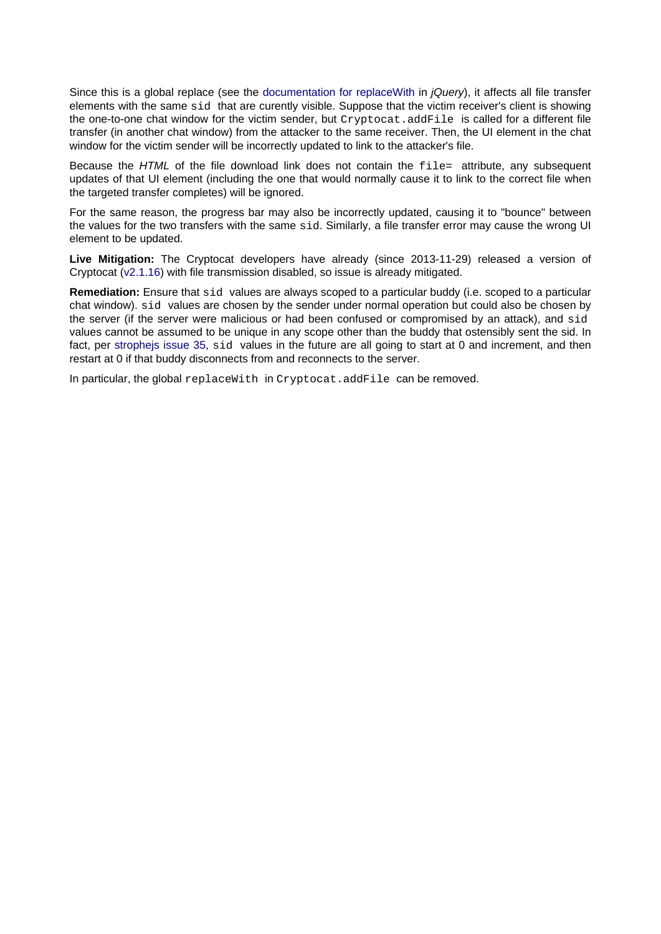Since this is a global replace (see the [documentation for replaceWith](https://api.jquery.com/replacewith/) in *jQuery*), it affects all file transfer elements with the same sid that are curently visible. Suppose that the victim receiver's client is showing the one-to-one chat window for the victim sender, but Cryptocat.addFile is called for a different file transfer (in another chat window) from the attacker to the same receiver. Then, the UI element in the chat window for the victim sender will be incorrectly updated to link to the attacker's file.

Because the HTML of the file download link does not contain the  $file =$  attribute, any subsequent updates of that UI element (including the one that would normally cause it to link to the correct file when the targeted transfer completes) will be ignored.

For the same reason, the progress bar may also be incorrectly updated, causing it to "bounce" between the values for the two transfers with the same sid. Similarly, a file transfer error may cause the wrong UI element to be updated.

**Live Mitigation:** The Cryptocat developers have already (since 2013-11-29) released a version of Cryptocat ([v2.1.16](https://github.com/cryptocat/cryptocat/blob/master/CHANGELOG.md#cryptocat-2116)) with file transmission disabled, so issue is already mitigated.

**Remediation:** Ensure that sid values are always scoped to a particular buddy (i.e. scoped to a particular chat window). sid values are chosen by the sender under normal operation but could also be chosen by the server (if the server were malicious or had been confused or compromised by an attack), and sid values cannot be assumed to be unique in any scope other than the buddy that ostensibly sent the sid. In fact, per stropheis issue 35, sid values in the future are all going to start at 0 and increment, and then restart at 0 if that buddy disconnects from and reconnects to the server.

In particular, the global replaceWith in Cryptocat.addFile can be removed.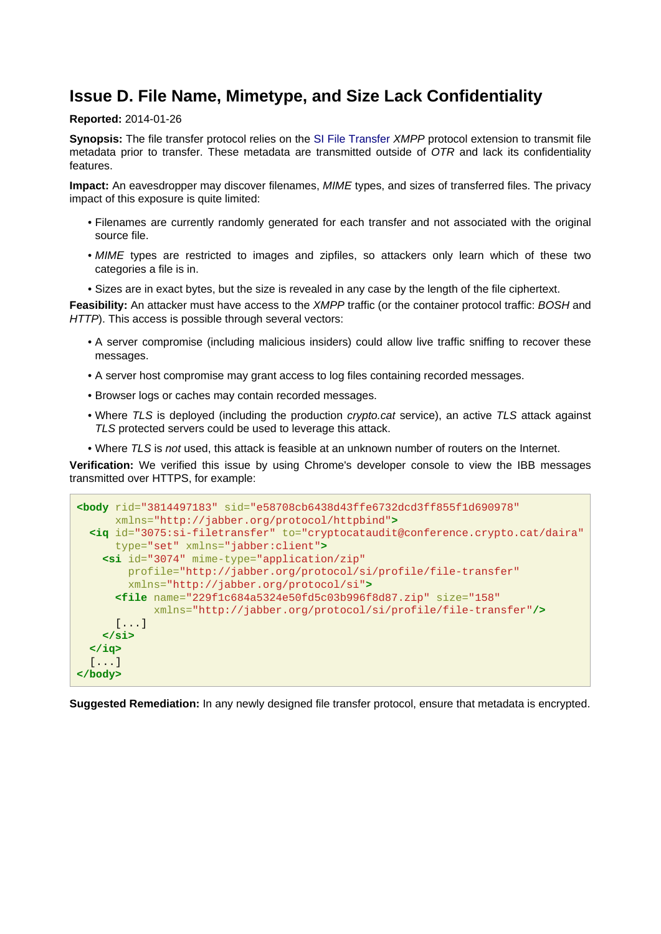### <span id="page-10-0"></span>**Issue D. File Name, Mimetype, and Size Lack Confidentiality**

#### **Reported:** 2014-01-26

**Synopsis:** The file transfer protocol relies on the [SI File Transfer](http://xmpp.org/extensions/xep-0096.html) XMPP protocol extension to transmit file metadata prior to transfer. These metadata are transmitted outside of OTR and lack its confidentiality features.

**Impact:** An eavesdropper may discover filenames, MIME types, and sizes of transferred files. The privacy impact of this exposure is quite limited:

- Filenames are currently randomly generated for each transfer and not associated with the original source file.
- MIME types are restricted to images and zipfiles, so attackers only learn which of these two categories a file is in.
- Sizes are in exact bytes, but the size is revealed in any case by the length of the file ciphertext.

**Feasibility:** An attacker must have access to the XMPP traffic (or the container protocol traffic: BOSH and HTTP). This access is possible through several vectors:

- A server compromise (including malicious insiders) could allow live traffic sniffing to recover these messages.
- A server host compromise may grant access to log files containing recorded messages.
- Browser logs or caches may contain recorded messages.
- Where TLS is deployed (including the production *crypto.cat* service), an active TLS attack against TLS protected servers could be used to leverage this attack.
- Where TLS is not used, this attack is feasible at an unknown number of routers on the Internet.

**Verification:** We verified this issue by using Chrome's developer console to view the IBB messages transmitted over HTTPS, for example:

```
<body rid="3814497183" sid="e58708cb6438d43ffe6732dcd3ff855f1d690978"
      xmlns="http://jabber.org/protocol/httpbind">
  <iq id="3075:si-filetransfer" to="cryptocataudit@conference.crypto.cat/daira"
      type="set" xmlns="jabber:client">
     <si id="3074" mime-type="application/zip"
         profile="http://jabber.org/protocol/si/profile/file-transfer"
         xmlns="http://jabber.org/protocol/si">
       <file name="229f1c684a5324e50fd5c03b996f8d87.zip" size="158"
             xmlns="http://jabber.org/protocol/si/profile/file-transfer"/>
      [...] </si>
  </iq>
   [...]
</body>
```
**Suggested Remediation:** In any newly designed file transfer protocol, ensure that metadata is encrypted.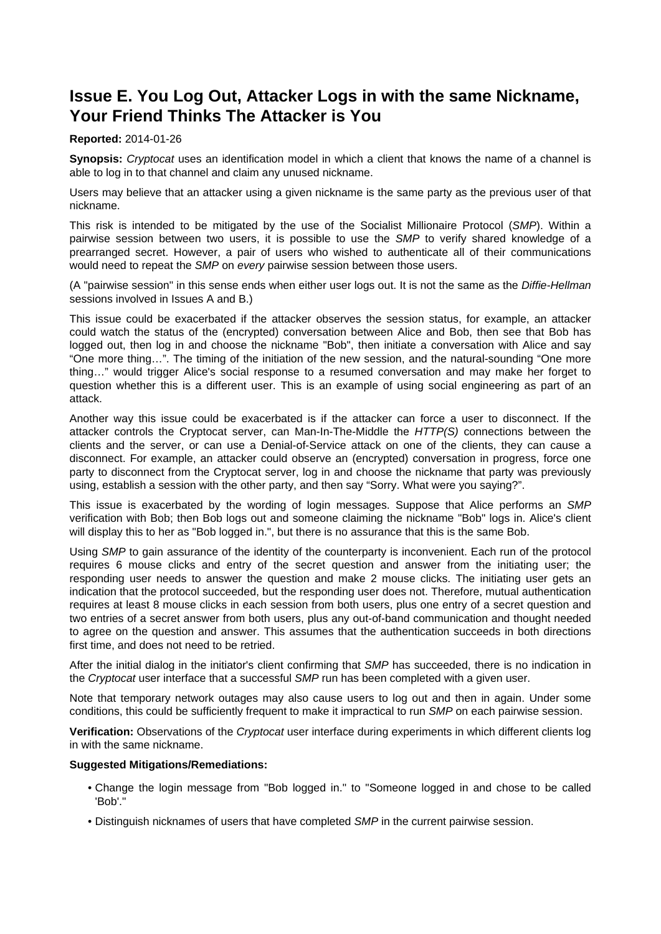## <span id="page-11-1"></span><span id="page-11-0"></span>**Issue E. You Log Out, Attacker Logs in with the same Nickname, Your Friend Thinks The Attacker is You**

#### **Reported:** 2014-01-26

**Synopsis:** Cryptocat uses an identification model in which a client that knows the name of a channel is able to log in to that channel and claim any unused nickname.

Users may believe that an attacker using a given nickname is the same party as the previous user of that nickname.

This risk is intended to be mitigated by the use of the Socialist Millionaire Protocol (SMP). Within a pairwise session between two users, it is possible to use the SMP to verify shared knowledge of a prearranged secret. However, a pair of users who wished to authenticate all of their communications would need to repeat the SMP on every pairwise session between those users.

(A "pairwise session" in this sense ends when either user logs out. It is not the same as the Diffie-Hellman sessions involved in Issues A and B.)

This issue could be exacerbated if the attacker observes the session status, for example, an attacker could watch the status of the (encrypted) conversation between Alice and Bob, then see that Bob has logged out, then log in and choose the nickname "Bob", then initiate a conversation with Alice and say "One more thing…". The timing of the initiation of the new session, and the natural-sounding "One more thing…" would trigger Alice's social response to a resumed conversation and may make her forget to question whether this is a different user. This is an example of using social engineering as part of an attack.

Another way this issue could be exacerbated is if the attacker can force a user to disconnect. If the attacker controls the Cryptocat server, can Man-In-The-Middle the HTTP(S) connections between the clients and the server, or can use a Denial-of-Service attack on one of the clients, they can cause a disconnect. For example, an attacker could observe an (encrypted) conversation in progress, force one party to disconnect from the Cryptocat server, log in and choose the nickname that party was previously using, establish a session with the other party, and then say "Sorry. What were you saying?".

This issue is exacerbated by the wording of login messages. Suppose that Alice performs an SMP verification with Bob; then Bob logs out and someone claiming the nickname "Bob" logs in. Alice's client will display this to her as "Bob logged in.", but there is no assurance that this is the same Bob.

Using SMP to gain assurance of the identity of the counterparty is inconvenient. Each run of the protocol requires 6 mouse clicks and entry of the secret question and answer from the initiating user; the responding user needs to answer the question and make 2 mouse clicks. The initiating user gets an indication that the protocol succeeded, but the responding user does not. Therefore, mutual authentication requires at least 8 mouse clicks in each session from both users, plus one entry of a secret question and two entries of a secret answer from both users, plus any out-of-band communication and thought needed to agree on the question and answer. This assumes that the authentication succeeds in both directions first time, and does not need to be retried.

After the initial dialog in the initiator's client confirming that SMP has succeeded, there is no indication in the Cryptocat user interface that a successful SMP run has been completed with a given user.

Note that temporary network outages may also cause users to log out and then in again. Under some conditions, this could be sufficiently frequent to make it impractical to run SMP on each pairwise session.

**Verification:** Observations of the Cryptocat user interface during experiments in which different clients log in with the same nickname.

#### **Suggested Mitigations/Remediations:**

- Change the login message from "Bob logged in." to "Someone logged in and chose to be called 'Bob'."
- Distinguish nicknames of users that have completed SMP in the current pairwise session.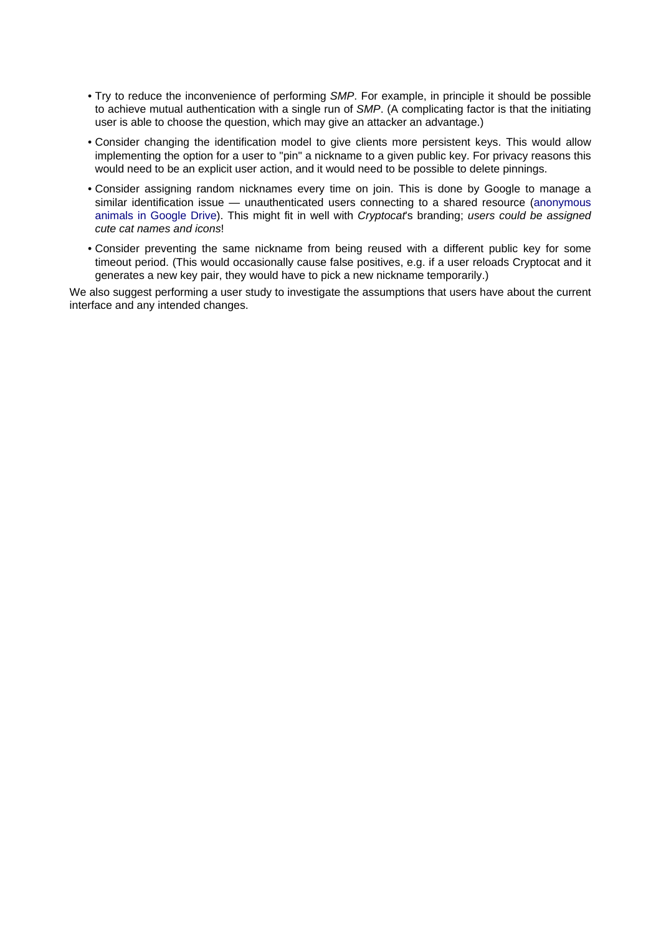- Try to reduce the inconvenience of performing SMP. For example, in principle it should be possible to achieve mutual authentication with a single run of SMP. (A complicating factor is that the initiating user is able to choose the question, which may give an attacker an advantage.)
- Consider changing the identification model to give clients more persistent keys. This would allow implementing the option for a user to "pin" a nickname to a given public key. For privacy reasons this would need to be an explicit user action, and it would need to be possible to delete pinnings.
- Consider assigning random nicknames every time on join. This is done by Google to manage a similar identification issue — unauthenticated users connecting to a shared resource ([anonymous](http://googlesystem.blogspot.com/2013/04/anonymous-animals-in-google-drive.html) [animals in Google Drive](http://googlesystem.blogspot.com/2013/04/anonymous-animals-in-google-drive.html)). This might fit in well with Cryptocat's branding; users could be assigned cute cat names and icons!
- Consider preventing the same nickname from being reused with a different public key for some timeout period. (This would occasionally cause false positives, e.g. if a user reloads Cryptocat and it generates a new key pair, they would have to pick a new nickname temporarily.)

We also suggest performing a user study to investigate the assumptions that users have about the current interface and any intended changes.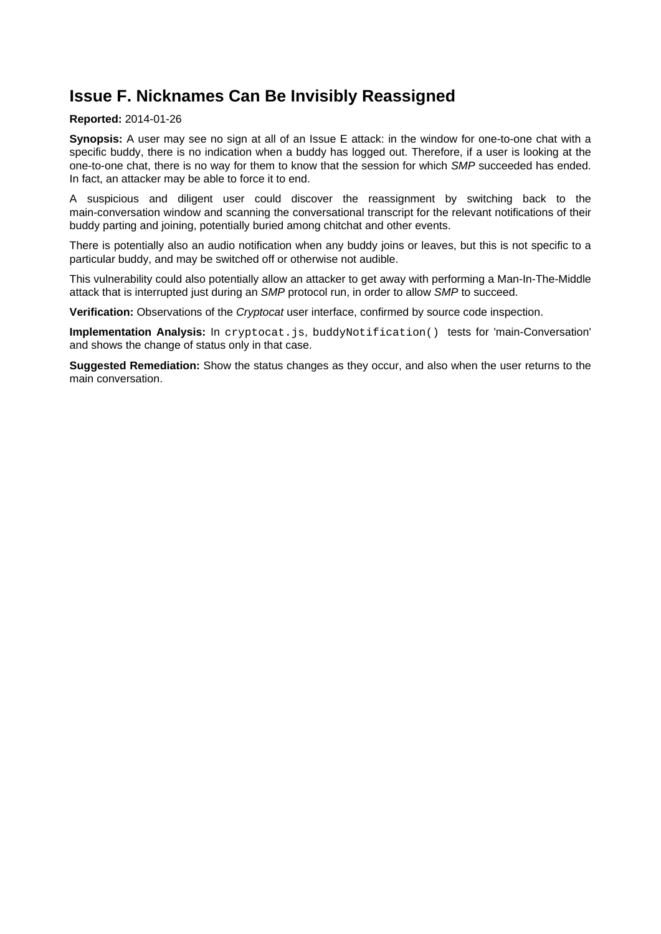## <span id="page-13-0"></span>**Issue F. Nicknames Can Be Invisibly Reassigned**

#### **Reported:** 2014-01-26

**Synopsis:** A user may see no sign at all of an Issue E attack: in the window for one-to-one chat with a specific buddy, there is no indication when a buddy has logged out. Therefore, if a user is looking at the one-to-one chat, there is no way for them to know that the session for which SMP succeeded has ended. In fact, an attacker may be able to force it to end.

A suspicious and diligent user could discover the reassignment by switching back to the main-conversation window and scanning the conversational transcript for the relevant notifications of their buddy parting and joining, potentially buried among chitchat and other events.

There is potentially also an audio notification when any buddy joins or leaves, but this is not specific to a particular buddy, and may be switched off or otherwise not audible.

This vulnerability could also potentially allow an attacker to get away with performing a Man-In-The-Middle attack that is interrupted just during an SMP protocol run, in order to allow SMP to succeed.

**Verification:** Observations of the Cryptocat user interface, confirmed by source code inspection.

**Implementation Analysis:** In cryptocat.js, buddyNotification() tests for 'main-Conversation' and shows the change of status only in that case.

**Suggested Remediation:** Show the status changes as they occur, and also when the user returns to the main conversation.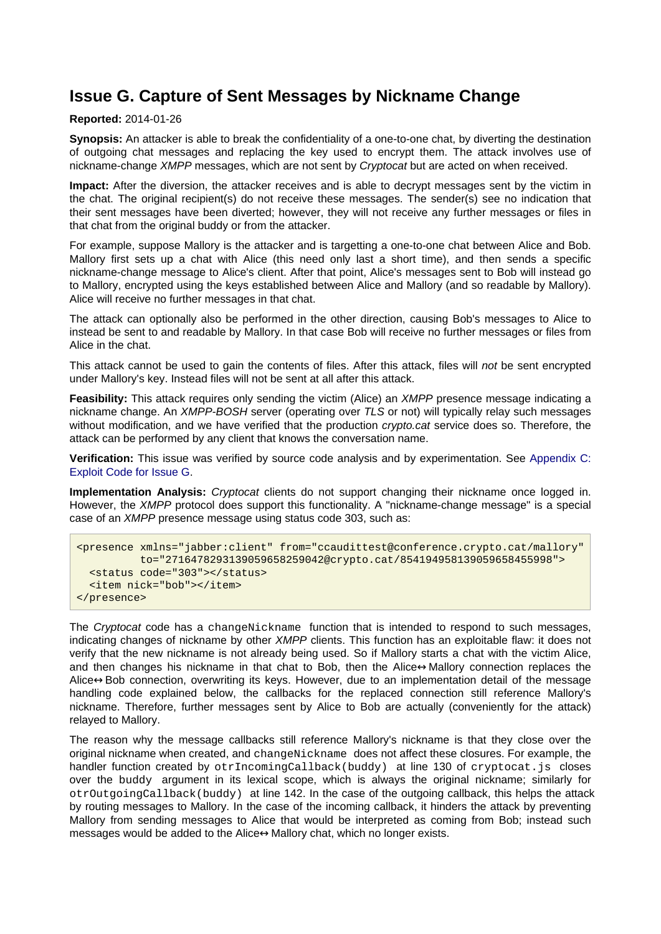### <span id="page-14-0"></span>**Issue G. Capture of Sent Messages by Nickname Change**

#### **Reported:** 2014-01-26

**Synopsis:** An attacker is able to break the confidentiality of a one-to-one chat, by diverting the destination of outgoing chat messages and replacing the key used to encrypt them. The attack involves use of nickname-change XMPP messages, which are not sent by Cryptocat but are acted on when received.

**Impact:** After the diversion, the attacker receives and is able to decrypt messages sent by the victim in the chat. The original recipient(s) do not receive these messages. The sender(s) see no indication that their sent messages have been diverted; however, they will not receive any further messages or files in that chat from the original buddy or from the attacker.

For example, suppose Mallory is the attacker and is targetting a one-to-one chat between Alice and Bob. Mallory first sets up a chat with Alice (this need only last a short time), and then sends a specific nickname-change message to Alice's client. After that point, Alice's messages sent to Bob will instead go to Mallory, encrypted using the keys established between Alice and Mallory (and so readable by Mallory). Alice will receive no further messages in that chat.

The attack can optionally also be performed in the other direction, causing Bob's messages to Alice to instead be sent to and readable by Mallory. In that case Bob will receive no further messages or files from Alice in the chat.

This attack cannot be used to gain the contents of files. After this attack, files will not be sent encrypted under Mallory's key. Instead files will not be sent at all after this attack.

**Feasibility:** This attack requires only sending the victim (Alice) an XMPP presence message indicating a nickname change. An XMPP-BOSH server (operating over TLS or not) will typically relay such messages without modification, and we have verified that the production *crypto.cat* service does so. Therefore, the attack can be performed by any client that knows the conversation name.

**Verification:** This issue was verified by source code analysis and by experimentation. See [Appendix C:](#page-26-1) [Exploit Code for Issue G](#page-26-1).

**Implementation Analysis:** Cryptocat clients do not support changing their nickname once logged in. However, the XMPP protocol does support this functionality. A "nickname-change message" is a special case of an XMPP presence message using status code 303, such as:

```
<presence xmlns="jabber:client" from="ccaudittest@conference.crypto.cat/mallory"
           to="2716478293139059658259042@crypto.cat/854194958139059658455998">
   <status code="303"></status>
   <item nick="bob"></item>
</presence>
```
The Cryptocat code has a changeNickname function that is intended to respond to such messages, indicating changes of nickname by other XMPP clients. This function has an exploitable flaw: it does not verify that the new nickname is not already being used. So if Mallory starts a chat with the victim Alice, and then changes his nickname in that chat to Bob, then the Alice↔Mallory connection replaces the Alice↔Bob connection, overwriting its keys. However, due to an implementation detail of the message handling code explained below, the callbacks for the replaced connection still reference Mallory's nickname. Therefore, further messages sent by Alice to Bob are actually (conveniently for the attack) relayed to Mallory.

The reason why the message callbacks still reference Mallory's nickname is that they close over the original nickname when created, and changeNickname does not affect these closures. For example, the handler function created by otrIncomingCallback(buddy) at line 130 of cryptocat.js closes over the buddy argument in its lexical scope, which is always the original nickname; similarly for otrOutgoingCallback(buddy) at line 142. In the case of the outgoing callback, this helps the attack by routing messages to Mallory. In the case of the incoming callback, it hinders the attack by preventing Mallory from sending messages to Alice that would be interpreted as coming from Bob; instead such messages would be added to the Alice↔Mallory chat, which no longer exists.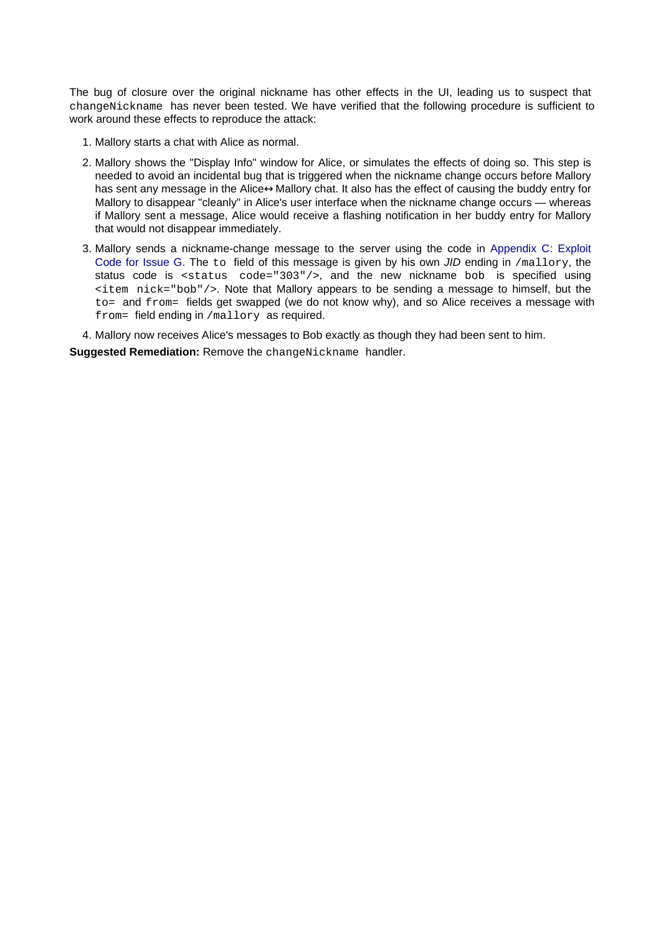The bug of closure over the original nickname has other effects in the UI, leading us to suspect that changeNickname has never been tested. We have verified that the following procedure is sufficient to work around these effects to reproduce the attack:

- 1. Mallory starts a chat with Alice as normal.
- 2. Mallory shows the "Display Info" window for Alice, or simulates the effects of doing so. This step is needed to avoid an incidental bug that is triggered when the nickname change occurs before Mallory has sent any message in the Alice↔Mallory chat. It also has the effect of causing the buddy entry for Mallory to disappear "cleanly" in Alice's user interface when the nickname change occurs — whereas if Mallory sent a message, Alice would receive a flashing notification in her buddy entry for Mallory that would not disappear immediately.
- 3. Mallory sends a nickname-change message to the server using the code in [Appendix C: Exploit](#page-26-1) [Code for Issue G](#page-26-1). The to field of this message is given by his own JID ending in /mallory, the status code is <status code="303"/>, and the new nickname bob is specified using <item nick="bob"/>. Note that Mallory appears to be sending a message to himself, but the to= and from= fields get swapped (we do not know why), and so Alice receives a message with from= field ending in /mallory as required.

4. Mallory now receives Alice's messages to Bob exactly as though they had been sent to him.

**Suggested Remediation: Remove the changeNickname handler.**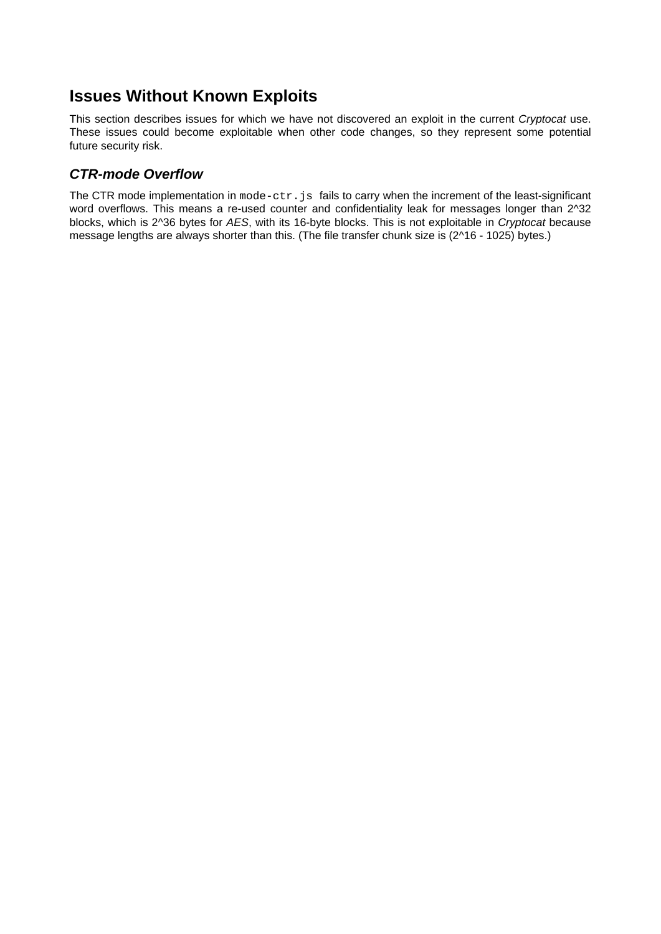### <span id="page-16-0"></span>**Issues Without Known Exploits**

This section describes issues for which we have not discovered an exploit in the current Cryptocat use. These issues could become exploitable when other code changes, so they represent some potential future security risk.

### <span id="page-16-1"></span>**CTR-mode Overflow**

The CTR mode implementation in  $mode-ctr.js$  fails to carry when the increment of the least-significant word overflows. This means a re-used counter and confidentiality leak for messages longer than 2^32 blocks, which is 2^36 bytes for AES, with its 16-byte blocks. This is not exploitable in Cryptocat because message lengths are always shorter than this. (The file transfer chunk size is (2^16 - 1025) bytes.)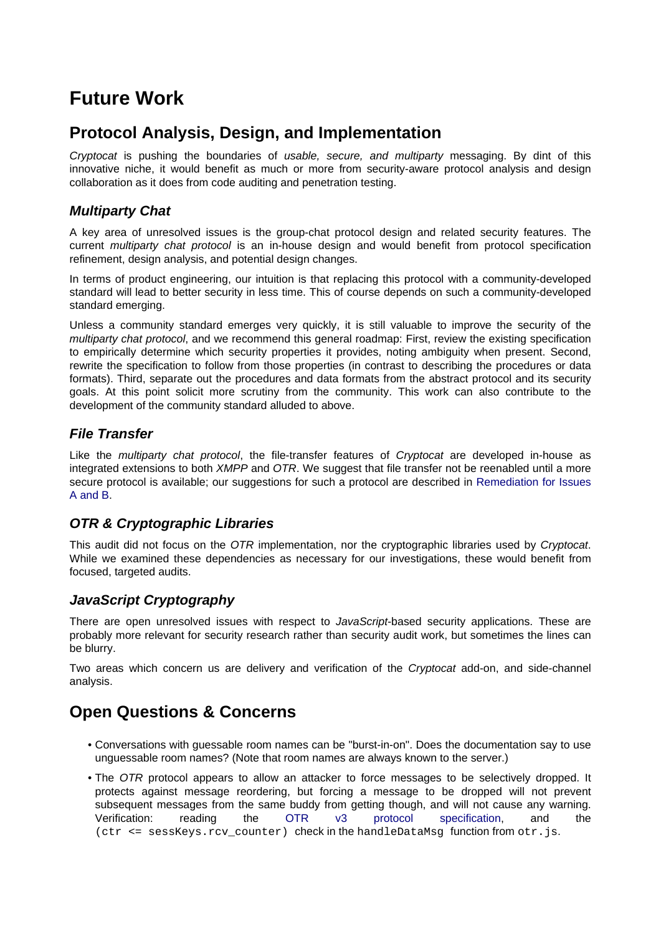# <span id="page-17-7"></span><span id="page-17-0"></span>**Future Work**

## <span id="page-17-1"></span>**Protocol Analysis, Design, and Implementation**

Cryptocat is pushing the boundaries of usable, secure, and multiparty messaging. By dint of this innovative niche, it would benefit as much or more from security-aware protocol analysis and design collaboration as it does from code auditing and penetration testing.

### <span id="page-17-2"></span>**Multiparty Chat**

A key area of unresolved issues is the group-chat protocol design and related security features. The current multiparty chat protocol is an in-house design and would benefit from protocol specification refinement, design analysis, and potential design changes.

In terms of product engineering, our intuition is that replacing this protocol with a community-developed standard will lead to better security in less time. This of course depends on such a community-developed standard emerging.

Unless a community standard emerges very quickly, it is still valuable to improve the security of the multiparty chat protocol, and we recommend this general roadmap: First, review the existing specification to empirically determine which security properties it provides, noting ambiguity when present. Second, rewrite the specification to follow from those properties (in contrast to describing the procedures or data formats). Third, separate out the procedures and data formats from the abstract protocol and its security goals. At this point solicit more scrutiny from the community. This work can also contribute to the development of the community standard alluded to above.

### <span id="page-17-3"></span>**File Transfer**

Like the multiparty chat protocol, the file-transfer features of Cryptocat are developed in-house as integrated extensions to both *XMPP* and OTR. We suggest that file transfer not be reenabled until a more secure protocol is available; our suggestions for such a protocol are described in [Remediation for Issues](#page-6-3) [A and B](#page-6-3).

### <span id="page-17-4"></span>**OTR & Cryptographic Libraries**

This audit did not focus on the OTR implementation, nor the cryptographic libraries used by Cryptocat. While we examined these dependencies as necessary for our investigations, these would benefit from focused, targeted audits.

### <span id="page-17-5"></span>**JavaScript Cryptography**

There are open unresolved issues with respect to *JavaScript*-based security applications. These are probably more relevant for security research rather than security audit work, but sometimes the lines can be blurry.

Two areas which concern us are delivery and verification of the Cryptocat add-on, and side-channel analysis.

## <span id="page-17-8"></span><span id="page-17-6"></span>**Open Questions & Concerns**

- Conversations with guessable room names can be "burst-in-on". Does the documentation say to use unguessable room names? (Note that room names are always known to the server.)
- The *OTR* protocol appears to allow an attacker to force messages to be selectively dropped. It protects against message reordering, but forcing a message to be dropped will not prevent subsequent messages from the same buddy from getting though, and will not cause any warning. Verification: reading the [OTR v3 protocol specification](https://otr.cypherpunks.ca/Protocol-v3-4.0.0.html), and the (ctr <= sessKeys.rcv counter) check in the handleDataMsg function from otr.js.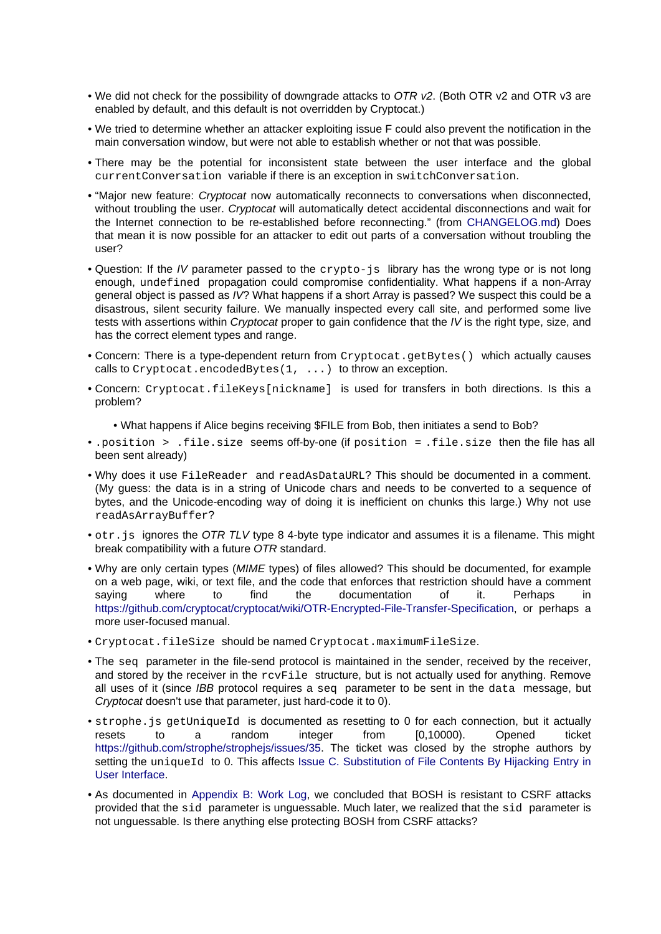- We did not check for the possibility of downgrade attacks to OTR v2. (Both OTR v2 and OTR v3 are enabled by default, and this default is not overridden by Cryptocat.)
- We tried to determine whether an attacker exploiting issue F could also prevent the notification in the main conversation window, but were not able to establish whether or not that was possible.
- There may be the potential for inconsistent state between the user interface and the global currentConversation variable if there is an exception in switchConversation.
- "Major new feature: *Cryptocat* now automatically reconnects to conversations when disconnected, without troubling the user. Cryptocat will automatically detect accidental disconnections and wait for the Internet connection to be re-established before reconnecting." (from [CHANGELOG.md](https://github.com/cryptocat/cryptocat/blob/80f41fdfac5ed503d0837d8fa29f6364a73478be/CHANGELOG.md#cryptocat-2114)) Does that mean it is now possible for an attacker to edit out parts of a conversation without troubling the user?
- Question: If the IV parameter passed to the crypto-js library has the wrong type or is not long enough, undefined propagation could compromise confidentiality. What happens if a non-Array general object is passed as IV? What happens if a short Array is passed? We suspect this could be a disastrous, silent security failure. We manually inspected every call site, and performed some live tests with assertions within *Cryptocat* proper to gain confidence that the *IV* is the right type, size, and has the correct element types and range.
- Concern: There is a type-dependent return from Cryptocat.getBytes() which actually causes calls to Cryptocat.encodedBytes $(1, \ldots)$  to throw an exception.
- Concern: Cryptocat.fileKeys[nickname] is used for transfers in both directions. Is this a problem?
	- What happens if Alice begins receiving \$FILE from Bob, then initiates a send to Bob?
- .position > .file.size seems off-by-one (if position = .file.size then the file has all been sent already)
- Why does it use FileReader and readAsDataURL? This should be documented in a comment. (My guess: the data is in a string of Unicode chars and needs to be converted to a sequence of bytes, and the Unicode-encoding way of doing it is inefficient on chunks this large.) Why not use readAsArrayBuffer?
- $\bullet$  otr. js ignores the OTR TLV type 8 4-byte type indicator and assumes it is a filename. This might break compatibility with a future OTR standard.
- Why are only certain types (MIME types) of files allowed? This should be documented, for example on a web page, wiki, or text file, and the code that enforces that restriction should have a comment saying where to find the documentation of it. Perhaps in <https://github.com/cryptocat/cryptocat/wiki/OTR-Encrypted-File-Transfer-Specification>, or perhaps a more user-focused manual.
- Cryptocat.fileSize should be named Cryptocat.maximumFileSize.
- The seq parameter in the file-send protocol is maintained in the sender, received by the receiver, and stored by the receiver in the  $r$ cvFile structure, but is not actually used for anything. Remove all uses of it (since *IBB* protocol requires a seq parameter to be sent in the data message, but Cryptocat doesn't use that parameter, just hard-code it to 0).
- strophe.js getUniqueId is documented as resetting to 0 for each connection, but it actually resets to a random integer from [0,10000). Opened ticket resets to a random integer from [0,10000). Opened ticket <https://github.com/strophe/strophejs/issues/35>. The ticket was closed by the strophe authors by setting the uniqueId to 0. This affects [Issue C. Substitution of File Contents By Hijacking Entry in](#page-8-1) [User Interface](#page-8-1).
- As documented in [Appendix B: Work Log](#page-24-1), we concluded that BOSH is resistant to CSRF attacks provided that the sid parameter is unguessable. Much later, we realized that the sid parameter is not unguessable. Is there anything else protecting BOSH from CSRF attacks?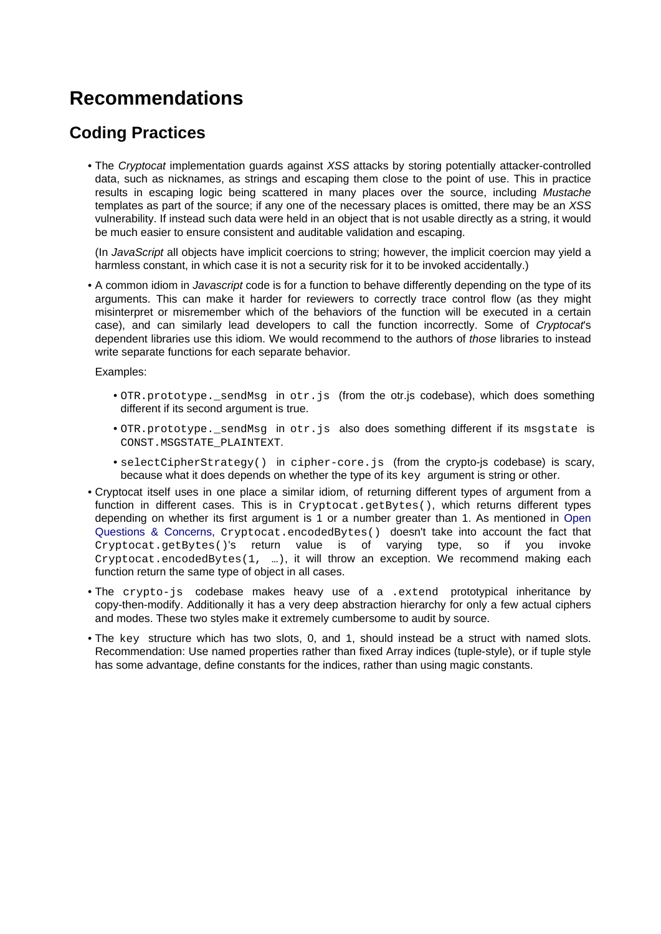# <span id="page-19-0"></span>**Recommendations**

## <span id="page-19-1"></span>**Coding Practices**

• The Cryptocat implementation quards against XSS attacks by storing potentially attacker-controlled data, such as nicknames, as strings and escaping them close to the point of use. This in practice results in escaping logic being scattered in many places over the source, including Mustache templates as part of the source; if any one of the necessary places is omitted, there may be an XSS vulnerability. If instead such data were held in an object that is not usable directly as a string, it would be much easier to ensure consistent and auditable validation and escaping.

(In JavaScript all objects have implicit coercions to string; however, the implicit coercion may yield a harmless constant, in which case it is not a security risk for it to be invoked accidentally.)

• A common idiom in *Javascript* code is for a function to behave differently depending on the type of its arguments. This can make it harder for reviewers to correctly trace control flow (as they might misinterpret or misremember which of the behaviors of the function will be executed in a certain case), and can similarly lead developers to call the function incorrectly. Some of Cryptocat's dependent libraries use this idiom. We would recommend to the authors of those libraries to instead write separate functions for each separate behavior.

Examples:

- OTR.prototype. sendMsg in otr. is (from the otr. is codebase), which does something different if its second argument is true.
- OTR.prototype.\_sendMsg in otr.js also does something different if its msgstate is CONST.MSGSTATE\_PLAINTEXT.
- selectCipherStrategy() in cipher-core.js (from the crypto-js codebase) is scary, because what it does depends on whether the type of its key argument is string or other.
- Cryptocat itself uses in one place a similar idiom, of returning different types of argument from a function in different cases. This is in Cryptocat.getBytes(), which returns different types depending on whether its first argument is 1 or a number greater than 1. As mentioned in [Open](#page-17-8) [Questions & Concerns,](#page-17-8) Cryptocat.encodedBytes() doesn't take into account the fact that Cryptocat.getBytes()'s return value is of varying type, so if you invoke Cryptocat.encodedBytes(1, …), it will throw an exception. We recommend making each function return the same type of object in all cases.
- The crypto-js codebase makes heavy use of a .extend prototypical inheritance by copy-then-modify. Additionally it has a very deep abstraction hierarchy for only a few actual ciphers and modes. These two styles make it extremely cumbersome to audit by source.
- The key structure which has two slots, 0, and 1, should instead be a struct with named slots. Recommendation: Use named properties rather than fixed Array indices (tuple-style), or if tuple style has some advantage, define constants for the indices, rather than using magic constants.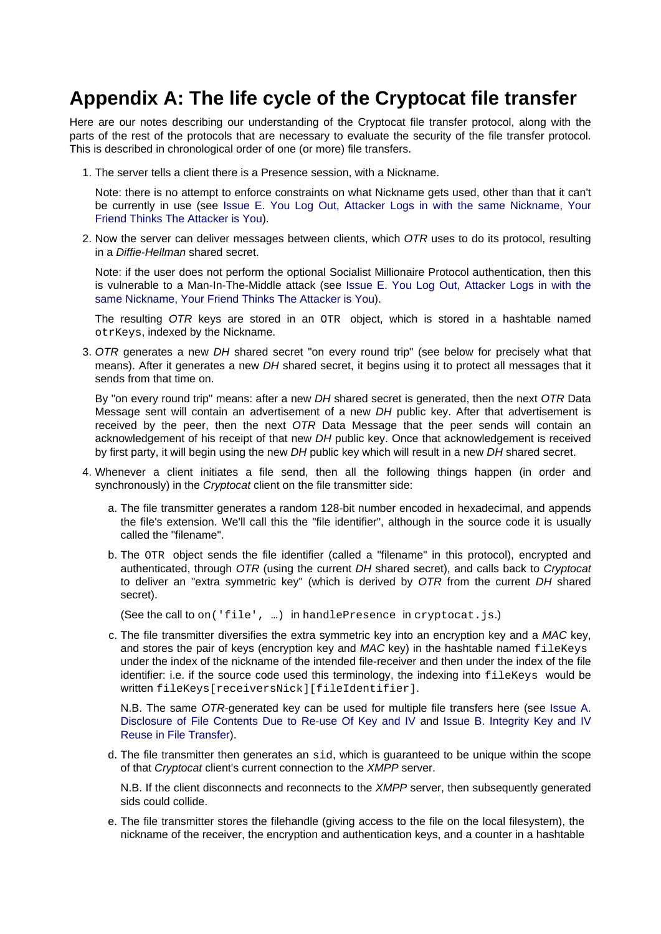# <span id="page-20-0"></span>**Appendix A: The life cycle of the Cryptocat file transfer**

Here are our notes describing our understanding of the Cryptocat file transfer protocol, along with the parts of the rest of the protocols that are necessary to evaluate the security of the file transfer protocol. This is described in chronological order of one (or more) file transfers.

1. The server tells a client there is a Presence session, with a Nickname.

Note: there is no attempt to enforce constraints on what Nickname gets used, other than that it can't be currently in use (see [Issue E. You Log Out, Attacker Logs in with the same Nickname, Your](#page-11-1) [Friend Thinks The Attacker is You](#page-11-1)).

2. Now the server can deliver messages between clients, which OTR uses to do its protocol, resulting in a Diffie-Hellman shared secret.

Note: if the user does not perform the optional Socialist Millionaire Protocol authentication, then this is vulnerable to a Man-In-The-Middle attack (see [Issue E. You Log Out, Attacker Logs in with the](#page-11-1) [same Nickname, Your Friend Thinks The Attacker is You](#page-11-1)).

The resulting OTR keys are stored in an OTR object, which is stored in a hashtable named otrKeys, indexed by the Nickname.

3. OTR generates a new DH shared secret "on every round trip" (see below for precisely what that means). After it generates a new DH shared secret, it begins using it to protect all messages that it sends from that time on.

By "on every round trip" means: after a new DH shared secret is generated, then the next OTR Data Message sent will contain an advertisement of a new DH public key. After that advertisement is received by the peer, then the next OTR Data Message that the peer sends will contain an acknowledgement of his receipt of that new DH public key. Once that acknowledgement is received by first party, it will begin using the new DH public key which will result in a new DH shared secret.

- 4. Whenever a client initiates a file send, then all the following things happen (in order and synchronously) in the *Cryptocat* client on the file transmitter side:
	- a. The file transmitter generates a random 128-bit number encoded in hexadecimal, and appends the file's extension. We'll call this the "file identifier", although in the source code it is usually called the "filename".
	- b. The OTR object sends the file identifier (called a "filename" in this protocol), encrypted and authenticated, through OTR (using the current DH shared secret), and calls back to Cryptocat to deliver an "extra symmetric key" (which is derived by OTR from the current DH shared secret).

(See the call to on('file',  $\ldots$ ) in handlePresence in cryptocat.js.)

c. The file transmitter diversifies the extra symmetric key into an encryption key and a MAC key, and stores the pair of keys (encryption key and MAC key) in the hashtable named fileKeys under the index of the nickname of the intended file-receiver and then under the index of the file identifier: i.e. if the source code used this terminology, the indexing into fileKeys would be written fileKeys[receiversNick][fileIdentifier].

N.B. The same OTR-generated key can be used for multiple file transfers here (see [Issue A.](#page-3-2) [Disclosure of File Contents Due to Re-use Of Key and IV a](#page-3-2)nd [Issue B. Integrity Key and IV](#page-5-1) [Reuse in File Transfer](#page-5-1)).

d. The file transmitter then generates an sid, which is guaranteed to be unique within the scope of that Cryptocat client's current connection to the XMPP server.

N.B. If the client disconnects and reconnects to the *XMPP* server, then subsequently generated sids could collide.

e. The file transmitter stores the filehandle (giving access to the file on the local filesystem), the nickname of the receiver, the encryption and authentication keys, and a counter in a hashtable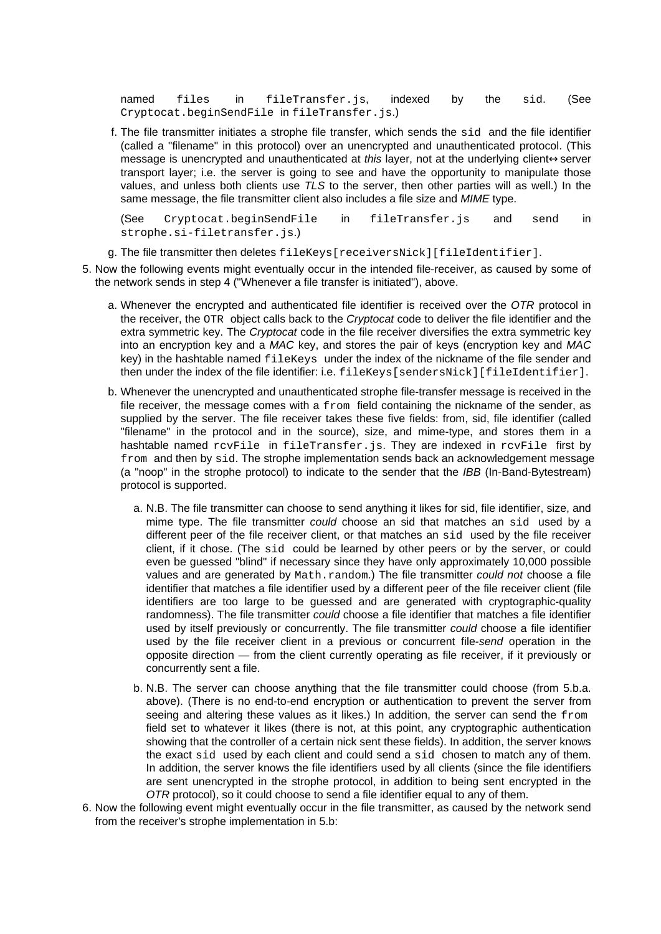named files in fileTransfer.js, indexed by the sid. (See Cryptocat.beginSendFile in fileTransfer.js.)

f. The file transmitter initiates a strophe file transfer, which sends the sid and the file identifier (called a "filename" in this protocol) over an unencrypted and unauthenticated protocol. (This message is unencrypted and unauthenticated at this layer, not at the underlying client↔server transport layer; i.e. the server is going to see and have the opportunity to manipulate those values, and unless both clients use TLS to the server, then other parties will as well.) In the same message, the file transmitter client also includes a file size and MIME type.

(See Cryptocat.beginSendFile in fileTransfer.js and send in strophe.si-filetransfer.js.)

g. The file transmitter then deletes fileKeys[receiversNick][fileIdentifier].

- 5. Now the following events might eventually occur in the intended file-receiver, as caused by some of the network sends in step 4 ("Whenever a file transfer is initiated"), above.
	- a. Whenever the encrypted and authenticated file identifier is received over the OTR protocol in the receiver, the OTR object calls back to the Cryptocat code to deliver the file identifier and the extra symmetric key. The Cryptocat code in the file receiver diversifies the extra symmetric key into an encryption key and a MAC key, and stores the pair of keys (encryption key and MAC key) in the hashtable named fileKeys under the index of the nickname of the file sender and then under the index of the file identifier: i.e. fileKeys[sendersNick][fileIdentifier].
	- b. Whenever the unencrypted and unauthenticated strophe file-transfer message is received in the file receiver, the message comes with a from field containing the nickname of the sender, as supplied by the server. The file receiver takes these five fields: from, sid, file identifier (called "filename" in the protocol and in the source), size, and mime-type, and stores them in a hashtable named rcvFile in fileTransfer.js. They are indexed in rcvFile first by from and then by sid. The strophe implementation sends back an acknowledgement message (a "noop" in the strophe protocol) to indicate to the sender that the IBB (In-Band-Bytestream) protocol is supported.
		- a. N.B. The file transmitter can choose to send anything it likes for sid, file identifier, size, and mime type. The file transmitter could choose an sid that matches an sid used by a different peer of the file receiver client, or that matches an sid used by the file receiver client, if it chose. (The sid could be learned by other peers or by the server, or could even be guessed "blind" if necessary since they have only approximately 10,000 possible values and are generated by Math.random.) The file transmitter could not choose a file identifier that matches a file identifier used by a different peer of the file receiver client (file identifiers are too large to be guessed and are generated with cryptographic-quality randomness). The file transmitter *could* choose a file identifier that matches a file identifier used by itself previously or concurrently. The file transmitter could choose a file identifier used by the file receiver client in a previous or concurrent file-send operation in the opposite direction — from the client currently operating as file receiver, if it previously or concurrently sent a file.
		- b. N.B. The server can choose anything that the file transmitter could choose (from 5.b.a. above). (There is no end-to-end encryption or authentication to prevent the server from seeing and altering these values as it likes.) In addition, the server can send the from field set to whatever it likes (there is not, at this point, any cryptographic authentication showing that the controller of a certain nick sent these fields). In addition, the server knows the exact sid used by each client and could send a sid chosen to match any of them. In addition, the server knows the file identifiers used by all clients (since the file identifiers are sent unencrypted in the strophe protocol, in addition to being sent encrypted in the OTR protocol), so it could choose to send a file identifier equal to any of them.
- 6. Now the following event might eventually occur in the file transmitter, as caused by the network send from the receiver's strophe implementation in 5.b: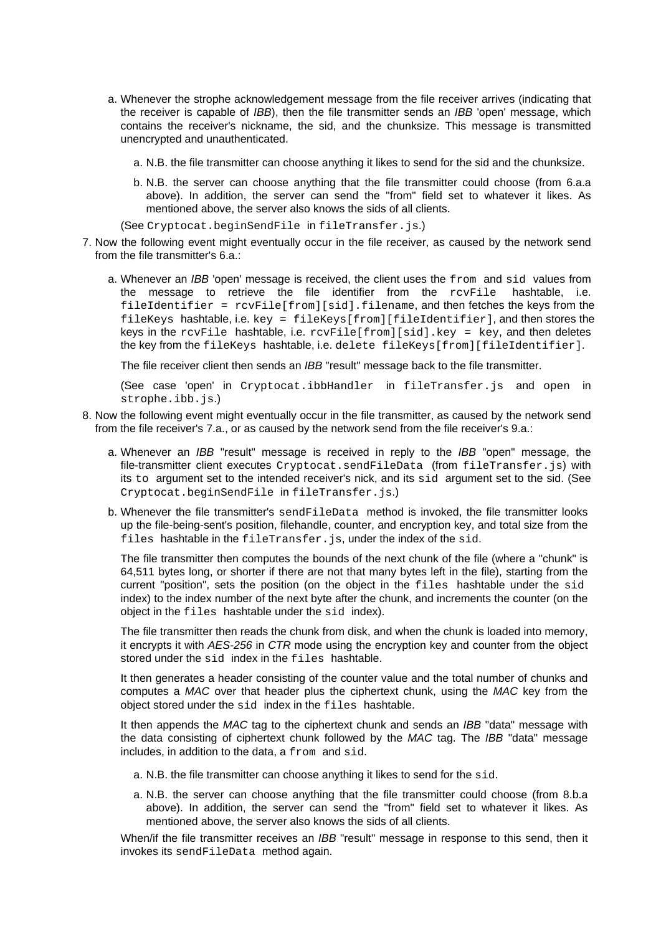- a. Whenever the strophe acknowledgement message from the file receiver arrives (indicating that the receiver is capable of IBB), then the file transmitter sends an IBB 'open' message, which contains the receiver's nickname, the sid, and the chunksize. This message is transmitted unencrypted and unauthenticated.
	- a. N.B. the file transmitter can choose anything it likes to send for the sid and the chunksize.
	- b. N.B. the server can choose anything that the file transmitter could choose (from 6.a.a above). In addition, the server can send the "from" field set to whatever it likes. As mentioned above, the server also knows the sids of all clients.

(See Cryptocat.beginSendFile in fileTransfer.js.)

- 7. Now the following event might eventually occur in the file receiver, as caused by the network send from the file transmitter's 6.a.:
	- a. Whenever an IBB 'open' message is received, the client uses the from and sid values from the message to retrieve the file identifier from the rcvFile hashtable, i.e. fileIdentifier = rcvFile[from][sid].filename, and then fetches the keys from the fileKeys hashtable, i.e. key = fileKeys[from][fileIdentifier], and then stores the keys in the rcvFile hashtable, i.e.  $rcvFile[from][sid].key = key$ , and then deletes the key from the fileKeys hashtable, i.e. delete fileKeys[from][fileIdentifier].

The file receiver client then sends an IBB "result" message back to the file transmitter.

(See case 'open' in Cryptocat.ibbHandler in fileTransfer.js and open in strophe.ibb.js.)

- 8. Now the following event might eventually occur in the file transmitter, as caused by the network send from the file receiver's 7.a., or as caused by the network send from the file receiver's 9.a.:
	- a. Whenever an *IBB* "result" message is received in reply to the *IBB* "open" message, the file-transmitter client executes Cryptocat.sendFileData (from fileTransfer.js) with its to argument set to the intended receiver's nick, and its sid argument set to the sid. (See Cryptocat.beginSendFile in fileTransfer.js.)
	- b. Whenever the file transmitter's sendFileData method is invoked, the file transmitter looks up the file-being-sent's position, filehandle, counter, and encryption key, and total size from the files hashtable in the fileTransfer. is, under the index of the sid.

The file transmitter then computes the bounds of the next chunk of the file (where a "chunk" is 64,511 bytes long, or shorter if there are not that many bytes left in the file), starting from the current "position", sets the position (on the object in the files hashtable under the sid index) to the index number of the next byte after the chunk, and increments the counter (on the object in the files hashtable under the sid index).

The file transmitter then reads the chunk from disk, and when the chunk is loaded into memory, it encrypts it with AES-256 in CTR mode using the encryption key and counter from the object stored under the sid index in the files hashtable.

It then generates a header consisting of the counter value and the total number of chunks and computes a MAC over that header plus the ciphertext chunk, using the MAC key from the object stored under the sid index in the files hashtable.

It then appends the MAC tag to the ciphertext chunk and sends an *IBB* "data" message with the data consisting of ciphertext chunk followed by the MAC tag. The IBB "data" message includes, in addition to the data, a from and sid.

- a. N.B. the file transmitter can choose anything it likes to send for the sid.
- a. N.B. the server can choose anything that the file transmitter could choose (from 8.b.a above). In addition, the server can send the "from" field set to whatever it likes. As mentioned above, the server also knows the sids of all clients.

When/if the file transmitter receives an IBB "result" message in response to this send, then it invokes its sendFileData method again.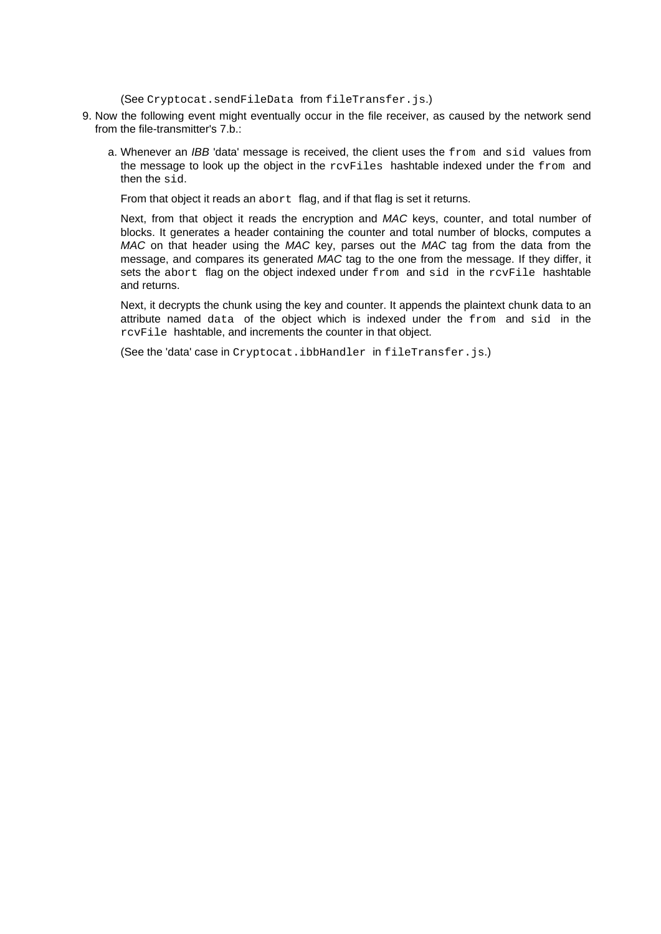(See Cryptocat.sendFileData from fileTransfer.js.)

- 9. Now the following event might eventually occur in the file receiver, as caused by the network send from the file-transmitter's 7.b.:
	- a. Whenever an  $IBB$  'data' message is received, the client uses the  $from$  and  $sid$  values from the message to look up the object in the rcvFiles hashtable indexed under the from and then the sid.

From that object it reads an abort flag, and if that flag is set it returns.

Next, from that object it reads the encryption and MAC keys, counter, and total number of blocks. It generates a header containing the counter and total number of blocks, computes a MAC on that header using the MAC key, parses out the MAC tag from the data from the message, and compares its generated MAC tag to the one from the message. If they differ, it sets the abort flag on the object indexed under from and sid in the rovFile hashtable and returns.

Next, it decrypts the chunk using the key and counter. It appends the plaintext chunk data to an attribute named data of the object which is indexed under the from and sid in the rcvFile hashtable, and increments the counter in that object.

(See the 'data' case in Cryptocat.ibbHandler in fileTransfer.js.)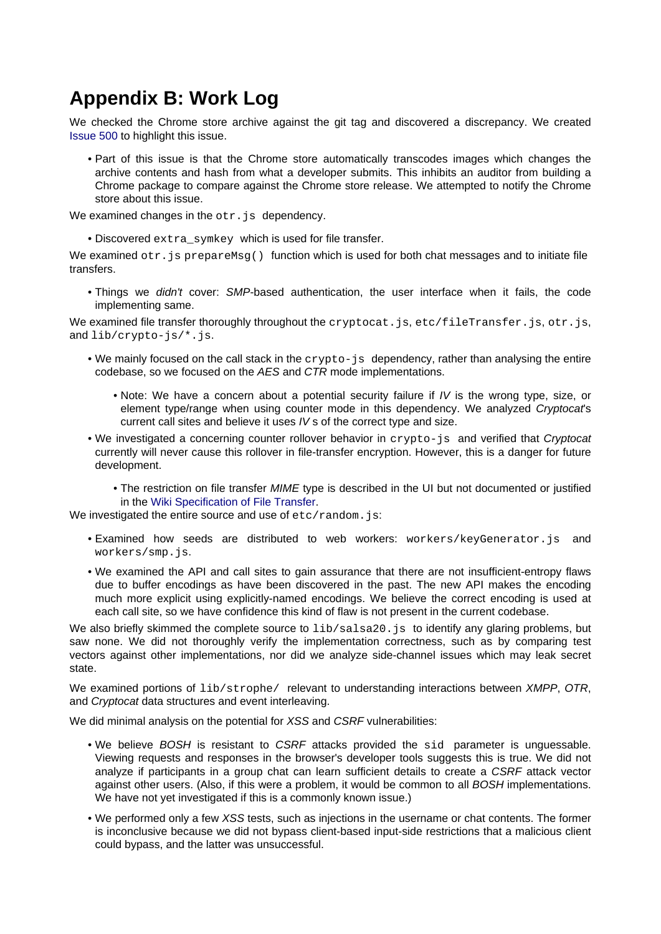# <span id="page-24-1"></span><span id="page-24-0"></span>**Appendix B: Work Log**

We checked the Chrome store archive against the git tag and discovered a discrepancy. We created [Issue 500 t](https://github.com/cryptocat/cryptocat/issues/500)o highlight this issue.

• Part of this issue is that the Chrome store automatically transcodes images which changes the archive contents and hash from what a developer submits. This inhibits an auditor from building a Chrome package to compare against the Chrome store release. We attempted to notify the Chrome store about this issue.

We examined changes in the  $otr$ . is dependency.

• Discovered extra\_symkey which is used for file transfer.

We examined  $str.$  js prepareMsg() function which is used for both chat messages and to initiate file transfers.

• Things we *didn't* cover: SMP-based authentication, the user interface when it fails, the code implementing same.

We examined file transfer thoroughly throughout the cryptocat. is, etc/fileTransfer. is, otr. is, and lib/crypto-js/\*.js.

- We mainly focused on the call stack in the crypto-js dependency, rather than analysing the entire codebase, so we focused on the AES and CTR mode implementations.
	- Note: We have a concern about a potential security failure if IV is the wrong type, size, or element type/range when using counter mode in this dependency. We analyzed Cryptocat's current call sites and believe it uses IV s of the correct type and size.
- We investigated a concerning counter rollover behavior in crypto-js and verified that Cryptocat currently will never cause this rollover in file-transfer encryption. However, this is a danger for future development.
	- The restriction on file transfer MIME type is described in the UI but not documented or justified in the [Wiki Specification of File Transfer](https://github.com/cryptocat/cryptocat/wiki/OTR-Encrypted-File-Transfer-Specification).

We investigated the entire source and use of etc/random.js:

- Examined how seeds are distributed to web workers: workers/keyGenerator.js and workers/smp.js.
- We examined the API and call sites to gain assurance that there are not insufficient-entropy flaws due to buffer encodings as have been discovered in the past. The new API makes the encoding much more explicit using explicitly-named encodings. We believe the correct encoding is used at each call site, so we have confidence this kind of flaw is not present in the current codebase.

We also briefly skimmed the complete source to  $\frac{1}{b}$ salsa20. js to identify any glaring problems, but saw none. We did not thoroughly verify the implementation correctness, such as by comparing test vectors against other implementations, nor did we analyze side-channel issues which may leak secret state.

We examined portions of lib/strophe/ relevant to understanding interactions between XMPP, OTR, and Cryptocat data structures and event interleaving.

We did minimal analysis on the potential for XSS and CSRF vulnerabilities:

- We believe BOSH is resistant to CSRF attacks provided the sid parameter is unguessable. Viewing requests and responses in the browser's developer tools suggests this is true. We did not analyze if participants in a group chat can learn sufficient details to create a CSRF attack vector against other users. (Also, if this were a problem, it would be common to all BOSH implementations. We have not yet investigated if this is a commonly known issue.)
- We performed only a few XSS tests, such as injections in the username or chat contents. The former is inconclusive because we did not bypass client-based input-side restrictions that a malicious client could bypass, and the latter was unsuccessful.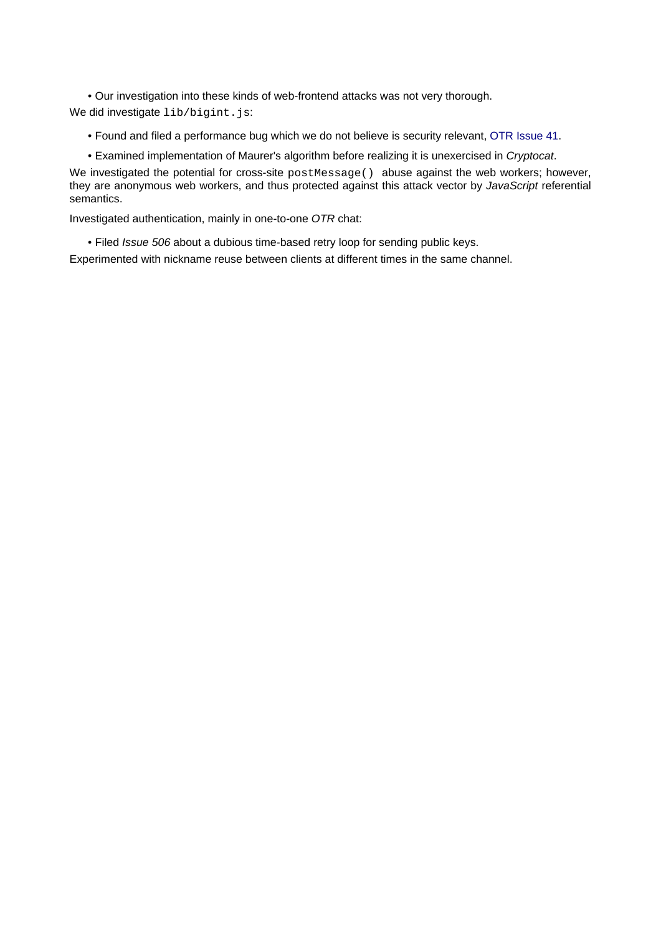• Our investigation into these kinds of web-frontend attacks was not very thorough. We did investigate lib/bigint.js:

• Found and filed a performance bug which we do not believe is security relevant, [OTR Issue 41](https://github.com/arlolra/otr/issues/41).

• Examined implementation of Maurer's algorithm before realizing it is unexercised in Cryptocat.

We investigated the potential for cross-site postMessage() abuse against the web workers; however, they are anonymous web workers, and thus protected against this attack vector by JavaScript referential semantics.

Investigated authentication, mainly in one-to-one OTR chat:

• Filed Issue 506 about a dubious time-based retry loop for sending public keys.

Experimented with nickname reuse between clients at different times in the same channel.